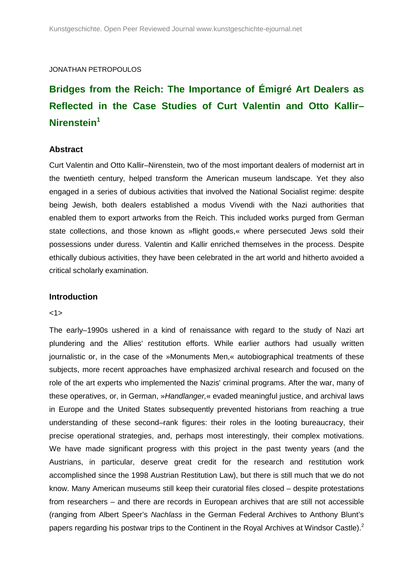## JONATHAN PETROPOULOS

# **Bridges from the Reich: The Importance of Émigré Art Dealers as Reflected in the Case Studies of Curt Valentin and Otto Kallir– Nirenstein<sup>1</sup>**

## **Abstract**

Curt Valentin and Otto Kallir–Nirenstein, two of the most important dealers of modernist art in the twentieth century, helped transform the American museum landscape. Yet they also engaged in a series of dubious activities that involved the National Socialist regime: despite being Jewish, both dealers established a modus Vivendi with the Nazi authorities that enabled them to export artworks from the Reich. This included works purged from German state collections, and those known as »flight goods,« where persecuted Jews sold their possessions under duress. Valentin and Kallir enriched themselves in the process. Despite ethically dubious activities, they have been celebrated in the art world and hitherto avoided a critical scholarly examination.

## **Introduction**

#### <1>

The early–1990s ushered in a kind of renaissance with regard to the study of Nazi art plundering and the Allies' restitution efforts. While earlier authors had usually written journalistic or, in the case of the »Monuments Men,« autobiographical treatments of these subjects, more recent approaches have emphasized archival research and focused on the role of the art experts who implemented the Nazis' criminal programs. After the war, many of these operatives, or, in German, »Handlanger,« evaded meaningful justice, and archival laws in Europe and the United States subsequently prevented historians from reaching a true understanding of these second–rank figures: their roles in the looting bureaucracy, their precise operational strategies, and, perhaps most interestingly, their complex motivations. We have made significant progress with this project in the past twenty years (and the Austrians, in particular, deserve great credit for the research and restitution work accomplished since the 1998 Austrian Restitution Law), but there is still much that we do not know. Many American museums still keep their curatorial files closed – despite protestations from researchers – and there are records in European archives that are still not accessible (ranging from Albert Speer's Nachlass in the German Federal Archives to Anthony Blunt's papers regarding his postwar trips to the Continent in the Royal Archives at Windsor Castle).<sup>2</sup>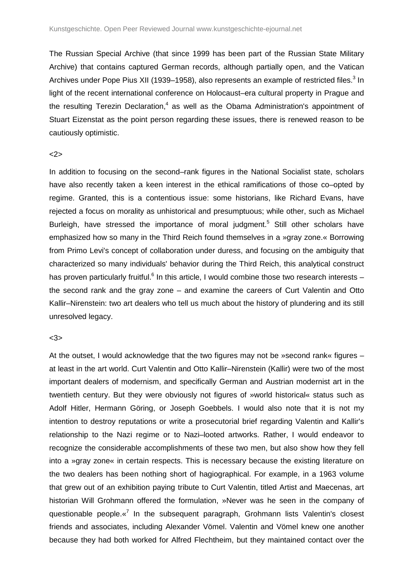The Russian Special Archive (that since 1999 has been part of the Russian State Military Archive) that contains captured German records, although partially open, and the Vatican Archives under Pope Pius XII (1939–1958), also represents an example of restricted files.<sup>3</sup> In light of the recent international conference on Holocaust–era cultural property in Prague and the resulting Terezin Declaration,<sup>4</sup> as well as the Obama Administration's appointment of Stuart Eizenstat as the point person regarding these issues, there is renewed reason to be cautiously optimistic.

#### <2>

In addition to focusing on the second–rank figures in the National Socialist state, scholars have also recently taken a keen interest in the ethical ramifications of those co–opted by regime. Granted, this is a contentious issue: some historians, like Richard Evans, have rejected a focus on morality as unhistorical and presumptuous; while other, such as Michael Burleigh, have stressed the importance of moral judgment.<sup>5</sup> Still other scholars have emphasized how so many in the Third Reich found themselves in a »gray zone.« Borrowing from Primo Levi's concept of collaboration under duress, and focusing on the ambiguity that characterized so many individuals' behavior during the Third Reich, this analytical construct has proven particularly fruitful.<sup>6</sup> In this article, I would combine those two research interests  $$ the second rank and the gray zone – and examine the careers of Curt Valentin and Otto Kallir–Nirenstein: two art dealers who tell us much about the history of plundering and its still unresolved legacy.

## <3>

At the outset, I would acknowledge that the two figures may not be »second rank« figures – at least in the art world. Curt Valentin and Otto Kallir–Nirenstein (Kallir) were two of the most important dealers of modernism, and specifically German and Austrian modernist art in the twentieth century. But they were obviously not figures of »world historical« status such as Adolf Hitler, Hermann Göring, or Joseph Goebbels. I would also note that it is not my intention to destroy reputations or write a prosecutorial brief regarding Valentin and Kallir's relationship to the Nazi regime or to Nazi–looted artworks. Rather, I would endeavor to recognize the considerable accomplishments of these two men, but also show how they fell into a »gray zone« in certain respects. This is necessary because the existing literature on the two dealers has been nothing short of hagiographical. For example, in a 1963 volume that grew out of an exhibition paying tribute to Curt Valentin, titled Artist and Maecenas, art historian Will Grohmann offered the formulation, »Never was he seen in the company of questionable people.«<sup>7</sup> In the subsequent paragraph, Grohmann lists Valentin's closest friends and associates, including Alexander Vömel. Valentin and Vömel knew one another because they had both worked for Alfred Flechtheim, but they maintained contact over the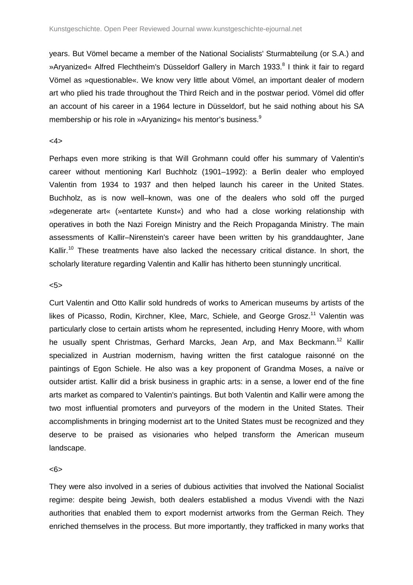years. But Vömel became a member of the National Socialists' Sturmabteilung (or S.A.) and »Aryanized« Alfred Flechtheim's Düsseldorf Gallery in March 1933.<sup>8</sup> I think it fair to regard Vömel as »questionable«. We know very little about Vömel, an important dealer of modern art who plied his trade throughout the Third Reich and in the postwar period. Vömel did offer an account of his career in a 1964 lecture in Düsseldorf, but he said nothing about his SA membership or his role in »Aryanizing« his mentor's business.<sup>9</sup>

## <4>

Perhaps even more striking is that Will Grohmann could offer his summary of Valentin's career without mentioning Karl Buchholz (1901–1992): a Berlin dealer who employed Valentin from 1934 to 1937 and then helped launch his career in the United States. Buchholz, as is now well–known, was one of the dealers who sold off the purged »degenerate art« (»entartete Kunst«) and who had a close working relationship with operatives in both the Nazi Foreign Ministry and the Reich Propaganda Ministry. The main assessments of Kallir–Nirenstein's career have been written by his granddaughter, Jane Kallir.<sup>10</sup> These treatments have also lacked the necessary critical distance. In short, the scholarly literature regarding Valentin and Kallir has hitherto been stunningly uncritical.

## <5>

Curt Valentin and Otto Kallir sold hundreds of works to American museums by artists of the likes of Picasso, Rodin, Kirchner, Klee, Marc, Schiele, and George Grosz.<sup>11</sup> Valentin was particularly close to certain artists whom he represented, including Henry Moore, with whom he usually spent Christmas, Gerhard Marcks, Jean Arp, and Max Beckmann.<sup>12</sup> Kallir specialized in Austrian modernism, having written the first catalogue raisonné on the paintings of Egon Schiele. He also was a key proponent of Grandma Moses, a naïve or outsider artist. Kallir did a brisk business in graphic arts: in a sense, a lower end of the fine arts market as compared to Valentin's paintings. But both Valentin and Kallir were among the two most influential promoters and purveyors of the modern in the United States. Their accomplishments in bringing modernist art to the United States must be recognized and they deserve to be praised as visionaries who helped transform the American museum landscape.

#### <6>

They were also involved in a series of dubious activities that involved the National Socialist regime: despite being Jewish, both dealers established a modus Vivendi with the Nazi authorities that enabled them to export modernist artworks from the German Reich. They enriched themselves in the process. But more importantly, they trafficked in many works that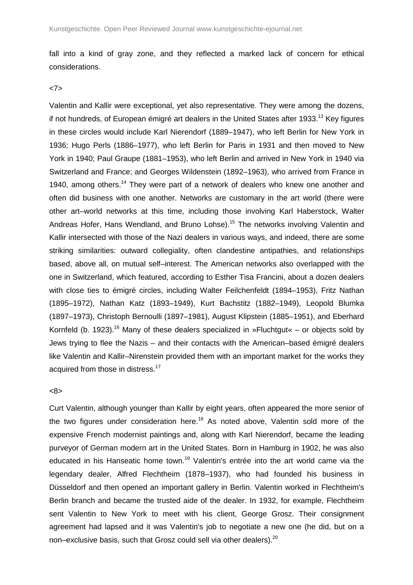fall into a kind of gray zone, and they reflected a marked lack of concern for ethical considerations.

## <7>

Valentin and Kallir were exceptional, yet also representative. They were among the dozens, if not hundreds, of European émigré art dealers in the United States after 1933.<sup>13</sup> Key figures in these circles would include Karl Nierendorf (1889–1947), who left Berlin for New York in 1936; Hugo Perls (1886–1977), who left Berlin for Paris in 1931 and then moved to New York in 1940; Paul Graupe (1881–1953), who left Berlin and arrived in New York in 1940 via Switzerland and France; and Georges Wildenstein (1892–1963), who arrived from France in 1940, among others.<sup>14</sup> They were part of a network of dealers who knew one another and often did business with one another. Networks are customary in the art world (there were other art–world networks at this time, including those involving Karl Haberstock, Walter Andreas Hofer, Hans Wendland, and Bruno Lohse).<sup>15</sup> The networks involving Valentin and Kallir intersected with those of the Nazi dealers in various ways, and indeed, there are some striking similarities: outward collegiality, often clandestine antipathies, and relationships based, above all, on mutual self–interest. The American networks also overlapped with the one in Switzerland, which featured, according to Esther Tisa Francini, about a dozen dealers with close ties to émigré circles, including Walter Feilchenfeldt (1894–1953), Fritz Nathan (1895–1972), Nathan Katz (1893–1949), Kurt Bachstitz (1882–1949), Leopold Blumka (1897–1973), Christoph Bernoulli (1897–1981), August Klipstein (1885–1951), and Eberhard Kornfeld (b. 1923).<sup>16</sup> Many of these dealers specialized in »Fluchtgut« – or objects sold by Jews trying to flee the Nazis – and their contacts with the American–based émigré dealers like Valentin and Kallir–Nirenstein provided them with an important market for the works they acquired from those in distress.<sup>17</sup>

#### <8>

Curt Valentin, although younger than Kallir by eight years, often appeared the more senior of the two figures under consideration here.<sup>18</sup> As noted above, Valentin sold more of the expensive French modernist paintings and, along with Karl Nierendorf, became the leading purveyor of German modern art in the United States. Born in Hamburg in 1902, he was also educated in his Hanseatic home town.<sup>19</sup> Valentin's entrée into the art world came via the legendary dealer, Alfred Flechtheim (1878–1937), who had founded his business in Düsseldorf and then opened an important gallery in Berlin. Valentin worked in Flechtheim's Berlin branch and became the trusted aide of the dealer. In 1932, for example, Flechtheim sent Valentin to New York to meet with his client, George Grosz. Their consignment agreement had lapsed and it was Valentin's job to negotiate a new one (he did, but on a non–exclusive basis, such that Grosz could sell via other dealers).<sup>20</sup>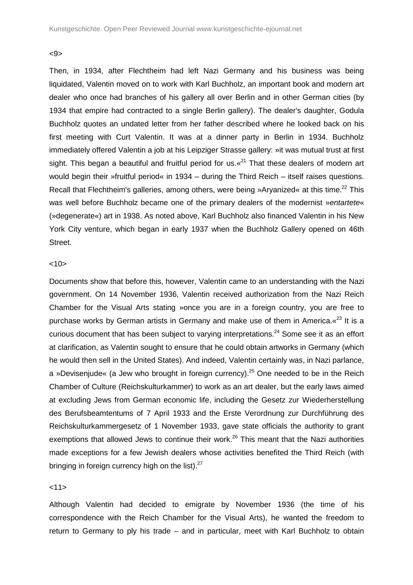#### <9>

Then, in 1934, after Flechtheim had left Nazi Germany and his business was being liquidated, Valentin moved on to work with Karl Buchholz, an important book and modern art dealer who once had branches of his gallery all over Berlin and in other German cities (by 1934 that empire had contracted to a single Berlin gallery). The dealer's daughter, Godula Buchholz quotes an undated letter from her father described where he looked back on his first meeting with Curt Valentin. It was at a dinner party in Berlin in 1934. Buchholz immediately offered Valentin a job at his Leipziger Strasse gallery: »it was mutual trust at first sight. This began a beautiful and fruitful period for us.  $\alpha^{21}$  That these dealers of modern art would begin their »fruitful period« in 1934 – during the Third Reich – itself raises questions. Recall that Flechtheim's galleries, among others, were being »Aryanized« at this time.<sup>22</sup> This was well before Buchholz became one of the primary dealers of the modernist »entartete« (»degenerate«) art in 1938. As noted above, Karl Buchholz also financed Valentin in his New York City venture, which began in early 1937 when the Buchholz Gallery opened on 46th Street.

## $10$

Documents show that before this, however, Valentin came to an understanding with the Nazi government. On 14 November 1936, Valentin received authorization from the Nazi Reich Chamber for the Visual Arts stating »once you are in a foreign country, you are free to purchase works by German artists in Germany and make use of them in America. «<sup>23</sup> It is a curious document that has been subject to varying interpretations.<sup>24</sup> Some see it as an effort at clarification, as Valentin sought to ensure that he could obtain artworks in Germany (which he would then sell in the United States). And indeed, Valentin certainly was, in Nazi parlance, a »Devisenjude« (a Jew who brought in foreign currency).<sup>25</sup> One needed to be in the Reich Chamber of Culture (Reichskulturkammer) to work as an art dealer, but the early laws aimed at excluding Jews from German economic life, including the Gesetz zur Wiederherstellung des Berufsbeamtentums of 7 April 1933 and the Erste Verordnung zur Durchführung des Reichskulturkammergesetz of 1 November 1933, gave state officials the authority to grant exemptions that allowed Jews to continue their work.<sup>26</sup> This meant that the Nazi authorities made exceptions for a few Jewish dealers whose activities benefited the Third Reich (with bringing in foreign currency high on the list). $27$ 

#### <11>

Although Valentin had decided to emigrate by November 1936 (the time of his correspondence with the Reich Chamber for the Visual Arts), he wanted the freedom to return to Germany to ply his trade – and in particular, meet with Karl Buchholz to obtain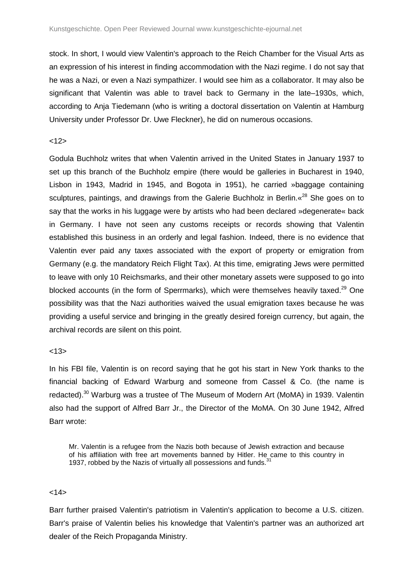stock. In short, I would view Valentin's approach to the Reich Chamber for the Visual Arts as an expression of his interest in finding accommodation with the Nazi regime. I do not say that he was a Nazi, or even a Nazi sympathizer. I would see him as a collaborator. It may also be significant that Valentin was able to travel back to Germany in the late–1930s, which, according to Anja Tiedemann (who is writing a doctoral dissertation on Valentin at Hamburg University under Professor Dr. Uwe Fleckner), he did on numerous occasions.

## $<12>$

Godula Buchholz writes that when Valentin arrived in the United States in January 1937 to set up this branch of the Buchholz empire (there would be galleries in Bucharest in 1940, Lisbon in 1943, Madrid in 1945, and Bogota in 1951), he carried »baggage containing sculptures, paintings, and drawings from the Galerie Buchholz in Berlin. «<sup>28</sup> She goes on to say that the works in his luggage were by artists who had been declared »degenerate« back in Germany. I have not seen any customs receipts or records showing that Valentin established this business in an orderly and legal fashion. Indeed, there is no evidence that Valentin ever paid any taxes associated with the export of property or emigration from Germany (e.g. the mandatory Reich Flight Tax). At this time, emigrating Jews were permitted to leave with only 10 Reichsmarks, and their other monetary assets were supposed to go into blocked accounts (in the form of Sperrmarks), which were themselves heavily taxed. $^{29}$  One possibility was that the Nazi authorities waived the usual emigration taxes because he was providing a useful service and bringing in the greatly desired foreign currency, but again, the archival records are silent on this point.

## $<13>$

In his FBI file, Valentin is on record saying that he got his start in New York thanks to the financial backing of Edward Warburg and someone from Cassel & Co. (the name is redacted).<sup>30</sup> Warburg was a trustee of The Museum of Modern Art (MoMA) in 1939. Valentin also had the support of Alfred Barr Jr., the Director of the MoMA. On 30 June 1942, Alfred Barr wrote:

Mr. Valentin is a refugee from the Nazis both because of Jewish extraction and because of his affiliation with free art movements banned by Hitler. He came to this country in 1937, robbed by the Nazis of virtually all possessions and funds.<sup>31</sup>

## $<14>$

Barr further praised Valentin's patriotism in Valentin's application to become a U.S. citizen. Barr's praise of Valentin belies his knowledge that Valentin's partner was an authorized art dealer of the Reich Propaganda Ministry.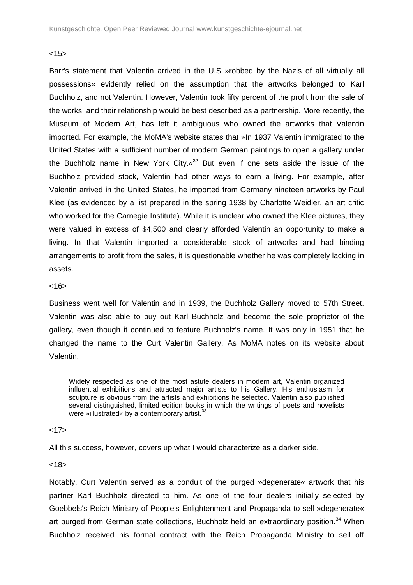## $<15>$

Barr's statement that Valentin arrived in the U.S »robbed by the Nazis of all virtually all possessions« evidently relied on the assumption that the artworks belonged to Karl Buchholz, and not Valentin. However, Valentin took fifty percent of the profit from the sale of the works, and their relationship would be best described as a partnership. More recently, the Museum of Modern Art, has left it ambiguous who owned the artworks that Valentin imported. For example, the MoMA's website states that »In 1937 Valentin immigrated to the United States with a sufficient number of modern German paintings to open a gallery under the Buchholz name in New York City. $\frac{1}{x^{32}}$  But even if one sets aside the issue of the Buchholz–provided stock, Valentin had other ways to earn a living. For example, after Valentin arrived in the United States, he imported from Germany nineteen artworks by Paul Klee (as evidenced by a list prepared in the spring 1938 by Charlotte Weidler, an art critic who worked for the Carnegie Institute). While it is unclear who owned the Klee pictures, they were valued in excess of \$4,500 and clearly afforded Valentin an opportunity to make a living. In that Valentin imported a considerable stock of artworks and had binding arrangements to profit from the sales, it is questionable whether he was completely lacking in assets.

## $< 16$

Business went well for Valentin and in 1939, the Buchholz Gallery moved to 57th Street. Valentin was also able to buy out Karl Buchholz and become the sole proprietor of the gallery, even though it continued to feature Buchholz's name. It was only in 1951 that he changed the name to the Curt Valentin Gallery. As MoMA notes on its website about Valentin,

Widely respected as one of the most astute dealers in modern art, Valentin organized influential exhibitions and attracted major artists to his Gallery. His enthusiasm for sculpture is obvious from the artists and exhibitions he selected. Valentin also published several distinguished, limited edition books in which the writings of poets and novelists were »illustrated« by a contemporary artist.<sup>33</sup>

#### $<17>$

All this success, however, covers up what I would characterize as a darker side.

 $<18>$ 

Notably, Curt Valentin served as a conduit of the purged »degenerate« artwork that his partner Karl Buchholz directed to him. As one of the four dealers initially selected by Goebbels's Reich Ministry of People's Enlightenment and Propaganda to sell »degenerate« art purged from German state collections, Buchholz held an extraordinary position.<sup>34</sup> When Buchholz received his formal contract with the Reich Propaganda Ministry to sell off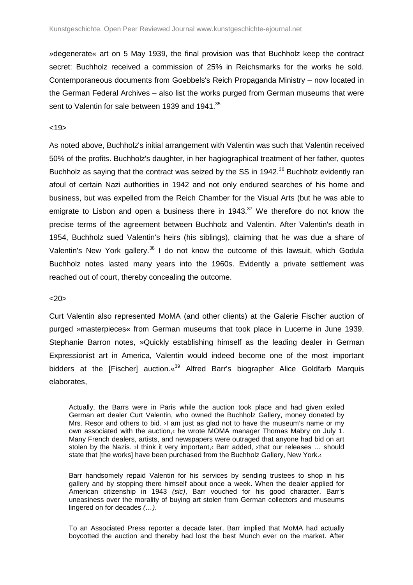»degenerate« art on 5 May 1939, the final provision was that Buchholz keep the contract secret: Buchholz received a commission of 25% in Reichsmarks for the works he sold. Contemporaneous documents from Goebbels's Reich Propaganda Ministry – now located in the German Federal Archives – also list the works purged from German museums that were sent to Valentin for sale between 1939 and 1941.<sup>35</sup>

#### $<19>$

As noted above, Buchholz's initial arrangement with Valentin was such that Valentin received 50% of the profits. Buchholz's daughter, in her hagiographical treatment of her father, quotes Buchholz as saying that the contract was seized by the SS in 1942.<sup>36</sup> Buchholz evidently ran afoul of certain Nazi authorities in 1942 and not only endured searches of his home and business, but was expelled from the Reich Chamber for the Visual Arts (but he was able to emigrate to Lisbon and open a business there in  $1943<sup>37</sup>$  We therefore do not know the precise terms of the agreement between Buchholz and Valentin. After Valentin's death in 1954, Buchholz sued Valentin's heirs (his siblings), claiming that he was due a share of Valentin's New York gallery. $38$  I do not know the outcome of this lawsuit, which Godula Buchholz notes lasted many years into the 1960s. Evidently a private settlement was reached out of court, thereby concealing the outcome.

#### $<20>$

Curt Valentin also represented MoMA (and other clients) at the Galerie Fischer auction of purged »masterpieces« from German museums that took place in Lucerne in June 1939. Stephanie Barron notes, »Quickly establishing himself as the leading dealer in German Expressionist art in America, Valentin would indeed become one of the most important bidders at the [Fischer] auction.  $\frac{d^{39}}{d}$  Alfred Barr's biographer Alice Goldfarb Marquis elaborates,

Actually, the Barrs were in Paris while the auction took place and had given exiled German art dealer Curt Valentin, who owned the Buchholz Gallery, money donated by Mrs. Resor and others to bid.  $\lambda$  am just as glad not to have the museum's name or my own associated with the auction,‹ he wrote MOMA manager Thomas Mabry on July 1. Many French dealers, artists, and newspapers were outraged that anyone had bid on art stolen by the Nazis. ›I think it very important,‹ Barr added, ›that our releases … should state that [the works] have been purchased from the Buchholz Gallery, New York.<sup>1</sup>

Barr handsomely repaid Valentin for his services by sending trustees to shop in his gallery and by stopping there himself about once a week. When the dealer applied for American citizenship in 1943 (sic), Barr vouched for his good character. Barr's uneasiness over the morality of buying art stolen from German collectors and museums lingered on for decades (…).

To an Associated Press reporter a decade later, Barr implied that MoMA had actually boycotted the auction and thereby had lost the best Munch ever on the market. After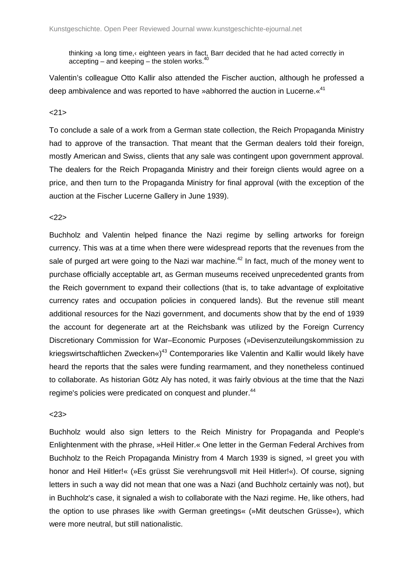thinking ›a long time,‹ eighteen years in fact, Barr decided that he had acted correctly in  $accepting - and keeping - the stolen works.<sup>40</sup>$ 

Valentin's colleague Otto Kallir also attended the Fischer auction, although he professed a deep ambivalence and was reported to have »abhorred the auction in Lucerne. «<sup>41</sup>

 $21$ 

To conclude a sale of a work from a German state collection, the Reich Propaganda Ministry had to approve of the transaction. That meant that the German dealers told their foreign, mostly American and Swiss, clients that any sale was contingent upon government approval. The dealers for the Reich Propaganda Ministry and their foreign clients would agree on a price, and then turn to the Propaganda Ministry for final approval (with the exception of the auction at the Fischer Lucerne Gallery in June 1939).

#### $22$

Buchholz and Valentin helped finance the Nazi regime by selling artworks for foreign currency. This was at a time when there were widespread reports that the revenues from the sale of purged art were going to the Nazi war machine.<sup>42</sup> In fact, much of the money went to purchase officially acceptable art, as German museums received unprecedented grants from the Reich government to expand their collections (that is, to take advantage of exploitative currency rates and occupation policies in conquered lands). But the revenue still meant additional resources for the Nazi government, and documents show that by the end of 1939 the account for degenerate art at the Reichsbank was utilized by the Foreign Currency Discretionary Commission for War–Economic Purposes (»Devisenzuteilungskommission zu kriegswirtschaftlichen Zwecken«)<sup>43</sup> Contemporaries like Valentin and Kallir would likely have heard the reports that the sales were funding rearmament, and they nonetheless continued to collaborate. As historian Götz Aly has noted, it was fairly obvious at the time that the Nazi regime's policies were predicated on conquest and plunder.<sup>44</sup>

## <23>

Buchholz would also sign letters to the Reich Ministry for Propaganda and People's Enlightenment with the phrase, »Heil Hitler.« One letter in the German Federal Archives from Buchholz to the Reich Propaganda Ministry from 4 March 1939 is signed, »I greet you with honor and Heil Hitler!« (»Es grüsst Sie verehrungsvoll mit Heil Hitler!«). Of course, signing letters in such a way did not mean that one was a Nazi (and Buchholz certainly was not), but in Buchholz's case, it signaled a wish to collaborate with the Nazi regime. He, like others, had the option to use phrases like »with German greetings« (»Mit deutschen Grüsse«), which were more neutral, but still nationalistic.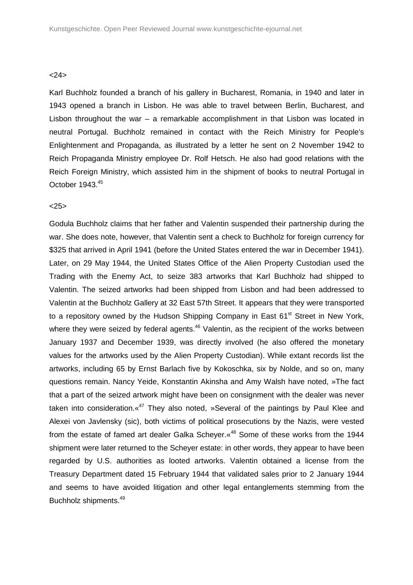## <24>

Karl Buchholz founded a branch of his gallery in Bucharest, Romania, in 1940 and later in 1943 opened a branch in Lisbon. He was able to travel between Berlin, Bucharest, and Lisbon throughout the war – a remarkable accomplishment in that Lisbon was located in neutral Portugal. Buchholz remained in contact with the Reich Ministry for People's Enlightenment and Propaganda, as illustrated by a letter he sent on 2 November 1942 to Reich Propaganda Ministry employee Dr. Rolf Hetsch. He also had good relations with the Reich Foreign Ministry, which assisted him in the shipment of books to neutral Portugal in October 1943.<sup>45</sup>

## <25>

Godula Buchholz claims that her father and Valentin suspended their partnership during the war. She does note, however, that Valentin sent a check to Buchholz for foreign currency for \$325 that arrived in April 1941 (before the United States entered the war in December 1941). Later, on 29 May 1944, the United States Office of the Alien Property Custodian used the Trading with the Enemy Act, to seize 383 artworks that Karl Buchholz had shipped to Valentin. The seized artworks had been shipped from Lisbon and had been addressed to Valentin at the Buchholz Gallery at 32 East 57th Street. It appears that they were transported to a repository owned by the Hudson Shipping Company in East 61<sup>st</sup> Street in New York, where they were seized by federal agents. $46$  Valentin, as the recipient of the works between January 1937 and December 1939, was directly involved (he also offered the monetary values for the artworks used by the Alien Property Custodian). While extant records list the artworks, including 65 by Ernst Barlach five by Kokoschka, six by Nolde, and so on, many questions remain. Nancy Yeide, Konstantin Akinsha and Amy Walsh have noted, »The fact that a part of the seized artwork might have been on consignment with the dealer was never taken into consideration. $\frac{k^{47}}{2}$  They also noted. »Several of the paintings by Paul Klee and Alexei von Javlensky (sic), both victims of political prosecutions by the Nazis, were vested from the estate of famed art dealer Galka Scheyer. $\alpha^{48}$  Some of these works from the 1944 shipment were later returned to the Scheyer estate: in other words, they appear to have been regarded by U.S. authorities as looted artworks. Valentin obtained a license from the Treasury Department dated 15 February 1944 that validated sales prior to 2 January 1944 and seems to have avoided litigation and other legal entanglements stemming from the Buchholz shipments.<sup>49</sup>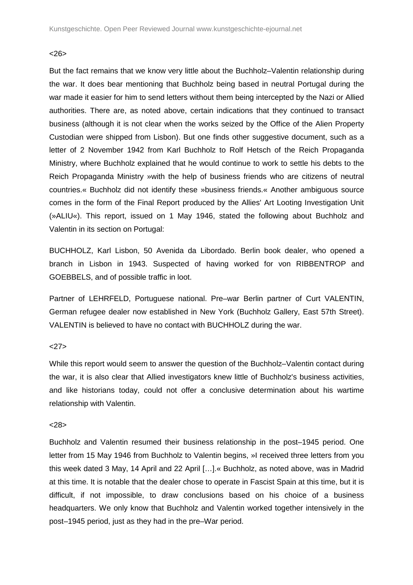## <26>

But the fact remains that we know very little about the Buchholz–Valentin relationship during the war. It does bear mentioning that Buchholz being based in neutral Portugal during the war made it easier for him to send letters without them being intercepted by the Nazi or Allied authorities. There are, as noted above, certain indications that they continued to transact business (although it is not clear when the works seized by the Office of the Alien Property Custodian were shipped from Lisbon). But one finds other suggestive document, such as a letter of 2 November 1942 from Karl Buchholz to Rolf Hetsch of the Reich Propaganda Ministry, where Buchholz explained that he would continue to work to settle his debts to the Reich Propaganda Ministry »with the help of business friends who are citizens of neutral countries.« Buchholz did not identify these »business friends.« Another ambiguous source comes in the form of the Final Report produced by the Allies' Art Looting Investigation Unit (»ALIU«). This report, issued on 1 May 1946, stated the following about Buchholz and Valentin in its section on Portugal:

BUCHHOLZ, Karl Lisbon, 50 Avenida da Libordado. Berlin book dealer, who opened a branch in Lisbon in 1943. Suspected of having worked for von RIBBENTROP and GOEBBELS, and of possible traffic in loot.

Partner of LEHRFELD, Portuguese national. Pre–war Berlin partner of Curt VALENTIN, German refugee dealer now established in New York (Buchholz Gallery, East 57th Street). VALENTIN is believed to have no contact with BUCHHOLZ during the war.

## $27$

While this report would seem to answer the question of the Buchholz–Valentin contact during the war, it is also clear that Allied investigators knew little of Buchholz's business activities, and like historians today, could not offer a conclusive determination about his wartime relationship with Valentin.

#### $28$

Buchholz and Valentin resumed their business relationship in the post–1945 period. One letter from 15 May 1946 from Buchholz to Valentin begins, »I received three letters from you this week dated 3 May, 14 April and 22 April […].« Buchholz, as noted above, was in Madrid at this time. It is notable that the dealer chose to operate in Fascist Spain at this time, but it is difficult, if not impossible, to draw conclusions based on his choice of a business headquarters. We only know that Buchholz and Valentin worked together intensively in the post–1945 period, just as they had in the pre–War period.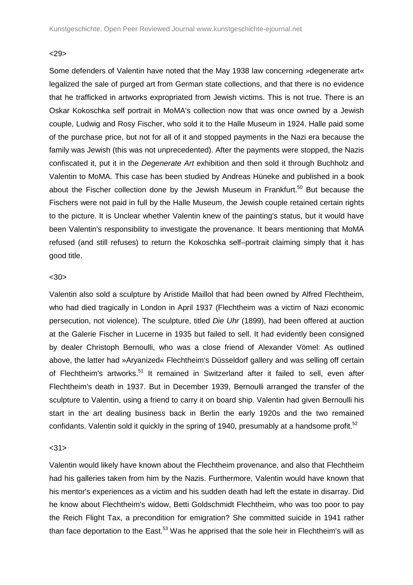## $29$

Some defenders of Valentin have noted that the May 1938 law concerning »degenerate art« legalized the sale of purged art from German state collections, and that there is no evidence that he trafficked in artworks expropriated from Jewish victims. This is not true. There is an Oskar Kokoschka self portrait in MoMA's collection now that was once owned by a Jewish couple, Ludwig and Rosy Fischer, who sold it to the Halle Museum in 1924. Halle paid some of the purchase price, but not for all of it and stopped payments in the Nazi era because the family was Jewish (this was not unprecedented). After the payments were stopped, the Nazis confiscated it, put it in the Degenerate Art exhibition and then sold it through Buchholz and Valentin to MoMA. This case has been studied by Andreas Hüneke and published in a book about the Fischer collection done by the Jewish Museum in Frankfurt.<sup>50</sup> But because the Fischers were not paid in full by the Halle Museum, the Jewish couple retained certain rights to the picture. It is Unclear whether Valentin knew of the painting's status, but it would have been Valentin's responsibility to investigate the provenance. It bears mentioning that MoMA refused (and still refuses) to return the Kokoschka self–portrait claiming simply that it has good title.

## $<$  30 $>$

Valentin also sold a sculpture by Aristide Maillol that had been owned by Alfred Flechtheim, who had died tragically in London in April 1937 (Flechtheim was a victim of Nazi economic persecution, not violence). The sculpture, titled Die Uhr (1899), had been offered at auction at the Galerie Fischer in Lucerne in 1935 but failed to sell. It had evidently been consigned by dealer Christoph Bernoulli, who was a close friend of Alexander Vömel: As outlined above, the latter had »Aryanized« Flechtheim's Düsseldorf gallery and was selling off certain of Flechtheim's artworks.<sup>51</sup> It remained in Switzerland after it failed to sell, even after Flechtheim's death in 1937. But in December 1939, Bernoulli arranged the transfer of the sculpture to Valentin, using a friend to carry it on board ship. Valentin had given Bernoulli his start in the art dealing business back in Berlin the early 1920s and the two remained confidants. Valentin sold it quickly in the spring of 1940, presumably at a handsome profit.<sup>52</sup>

## $<31>$

Valentin would likely have known about the Flechtheim provenance, and also that Flechtheim had his galleries taken from him by the Nazis. Furthermore, Valentin would have known that his mentor's experiences as a victim and his sudden death had left the estate in disarray. Did he know about Flechtheim's widow, Betti Goldschmidt Flechtheim, who was too poor to pay the Reich Flight Tax, a precondition for emigration? She committed suicide in 1941 rather than face deportation to the East.<sup>53</sup> Was he apprised that the sole heir in Flechtheim's will as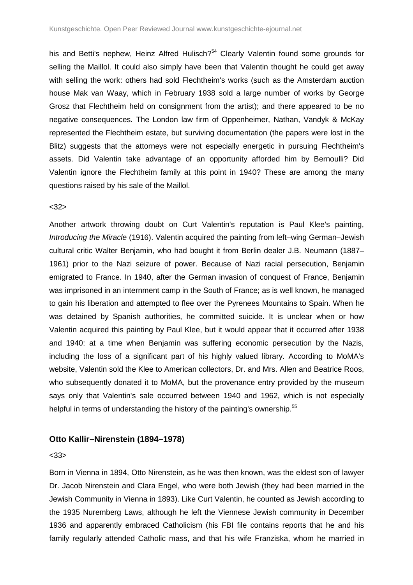his and Betti's nephew, Heinz Alfred Hulisch?<sup>54</sup> Clearly Valentin found some grounds for selling the Maillol. It could also simply have been that Valentin thought he could get away with selling the work: others had sold Flechtheim's works (such as the Amsterdam auction house Mak van Waay, which in February 1938 sold a large number of works by George Grosz that Flechtheim held on consignment from the artist); and there appeared to be no negative consequences. The London law firm of Oppenheimer, Nathan, Vandyk & McKay represented the Flechtheim estate, but surviving documentation (the papers were lost in the Blitz) suggests that the attorneys were not especially energetic in pursuing Flechtheim's assets. Did Valentin take advantage of an opportunity afforded him by Bernoulli? Did Valentin ignore the Flechtheim family at this point in 1940? These are among the many questions raised by his sale of the Maillol.

#### <32>

Another artwork throwing doubt on Curt Valentin's reputation is Paul Klee's painting, Introducing the Miracle (1916). Valentin acquired the painting from left–wing German–Jewish cultural critic Walter Benjamin, who had bought it from Berlin dealer J.B. Neumann (1887– 1961) prior to the Nazi seizure of power. Because of Nazi racial persecution, Benjamin emigrated to France. In 1940, after the German invasion of conquest of France, Benjamin was imprisoned in an internment camp in the South of France; as is well known, he managed to gain his liberation and attempted to flee over the Pyrenees Mountains to Spain. When he was detained by Spanish authorities, he committed suicide. It is unclear when or how Valentin acquired this painting by Paul Klee, but it would appear that it occurred after 1938 and 1940: at a time when Benjamin was suffering economic persecution by the Nazis, including the loss of a significant part of his highly valued library. According to MoMA's website, Valentin sold the Klee to American collectors, Dr. and Mrs. Allen and Beatrice Roos, who subsequently donated it to MoMA, but the provenance entry provided by the museum says only that Valentin's sale occurred between 1940 and 1962, which is not especially helpful in terms of understanding the history of the painting's ownership.<sup>55</sup>

## **Otto Kallir–Nirenstein (1894–1978)**

## $< 33$

Born in Vienna in 1894, Otto Nirenstein, as he was then known, was the eldest son of lawyer Dr. Jacob Nirenstein and Clara Engel, who were both Jewish (they had been married in the Jewish Community in Vienna in 1893). Like Curt Valentin, he counted as Jewish according to the 1935 Nuremberg Laws, although he left the Viennese Jewish community in December 1936 and apparently embraced Catholicism (his FBI file contains reports that he and his family regularly attended Catholic mass, and that his wife Franziska, whom he married in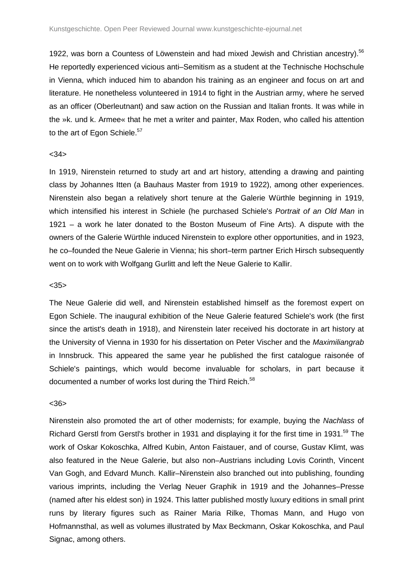1922, was born a Countess of Löwenstein and had mixed Jewish and Christian ancestry).<sup>56</sup> He reportedly experienced vicious anti–Semitism as a student at the Technische Hochschule in Vienna, which induced him to abandon his training as an engineer and focus on art and literature. He nonetheless volunteered in 1914 to fight in the Austrian army, where he served as an officer (Oberleutnant) and saw action on the Russian and Italian fronts. It was while in the »k. und k. Armee« that he met a writer and painter, Max Roden, who called his attention to the art of Egon Schiele.<sup>57</sup>

#### $<34>$

In 1919, Nirenstein returned to study art and art history, attending a drawing and painting class by Johannes Itten (a Bauhaus Master from 1919 to 1922), among other experiences. Nirenstein also began a relatively short tenure at the Galerie Würthle beginning in 1919, which intensified his interest in Schiele (he purchased Schiele's Portrait of an Old Man in 1921 – a work he later donated to the Boston Museum of Fine Arts). A dispute with the owners of the Galerie Würthle induced Nirenstein to explore other opportunities, and in 1923, he co–founded the Neue Galerie in Vienna; his short–term partner Erich Hirsch subsequently went on to work with Wolfgang Gurlitt and left the Neue Galerie to Kallir.

## $<35>$

The Neue Galerie did well, and Nirenstein established himself as the foremost expert on Egon Schiele. The inaugural exhibition of the Neue Galerie featured Schiele's work (the first since the artist's death in 1918), and Nirenstein later received his doctorate in art history at the University of Vienna in 1930 for his dissertation on Peter Vischer and the Maximiliangrab in Innsbruck. This appeared the same year he published the first catalogue raisonée of Schiele's paintings, which would become invaluable for scholars, in part because it documented a number of works lost during the Third Reich.<sup>58</sup>

#### <36>

Nirenstein also promoted the art of other modernists; for example, buying the Nachlass of Richard Gerstl from Gerstl's brother in 1931 and displaying it for the first time in 1931.<sup>59</sup> The work of Oskar Kokoschka, Alfred Kubin, Anton Faistauer, and of course, Gustav Klimt, was also featured in the Neue Galerie, but also non–Austrians including Lovis Corinth, Vincent Van Gogh, and Edvard Munch. Kallir–Nirenstein also branched out into publishing, founding various imprints, including the Verlag Neuer Graphik in 1919 and the Johannes–Presse (named after his eldest son) in 1924. This latter published mostly luxury editions in small print runs by literary figures such as Rainer Maria Rilke, Thomas Mann, and Hugo von Hofmannsthal, as well as volumes illustrated by Max Beckmann, Oskar Kokoschka, and Paul Signac, among others.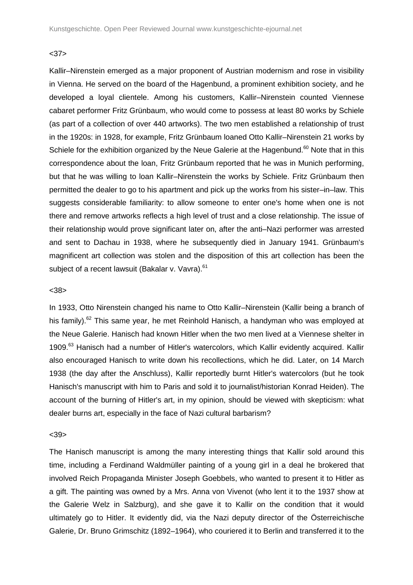## <37>

Kallir–Nirenstein emerged as a major proponent of Austrian modernism and rose in visibility in Vienna. He served on the board of the Hagenbund, a prominent exhibition society, and he developed a loyal clientele. Among his customers, Kallir–Nirenstein counted Viennese cabaret performer Fritz Grünbaum, who would come to possess at least 80 works by Schiele (as part of a collection of over 440 artworks). The two men established a relationship of trust in the 1920s: in 1928, for example, Fritz Grünbaum loaned Otto Kallir–Nirenstein 21 works by Schiele for the exhibition organized by the Neue Galerie at the Hagenbund.<sup>60</sup> Note that in this correspondence about the loan, Fritz Grünbaum reported that he was in Munich performing, but that he was willing to loan Kallir–Nirenstein the works by Schiele. Fritz Grünbaum then permitted the dealer to go to his apartment and pick up the works from his sister–in–law. This suggests considerable familiarity: to allow someone to enter one's home when one is not there and remove artworks reflects a high level of trust and a close relationship. The issue of their relationship would prove significant later on, after the anti–Nazi performer was arrested and sent to Dachau in 1938, where he subsequently died in January 1941. Grünbaum's magnificent art collection was stolen and the disposition of this art collection has been the subject of a recent lawsuit (Bakalar v. Vavra).<sup>61</sup>

#### <38>

In 1933, Otto Nirenstein changed his name to Otto Kallir–Nirenstein (Kallir being a branch of his family).<sup>62</sup> This same year, he met Reinhold Hanisch, a handyman who was employed at the Neue Galerie. Hanisch had known Hitler when the two men lived at a Viennese shelter in 1909.<sup>63</sup> Hanisch had a number of Hitler's watercolors, which Kallir evidently acquired. Kallir also encouraged Hanisch to write down his recollections, which he did. Later, on 14 March 1938 (the day after the Anschluss), Kallir reportedly burnt Hitler's watercolors (but he took Hanisch's manuscript with him to Paris and sold it to journalist/historian Konrad Heiden). The account of the burning of Hitler's art, in my opinion, should be viewed with skepticism: what dealer burns art, especially in the face of Nazi cultural barbarism?

#### $<$ 39 $>$

The Hanisch manuscript is among the many interesting things that Kallir sold around this time, including a Ferdinand Waldmüller painting of a young girl in a deal he brokered that involved Reich Propaganda Minister Joseph Goebbels, who wanted to present it to Hitler as a gift. The painting was owned by a Mrs. Anna von Vivenot (who lent it to the 1937 show at the Galerie Welz in Salzburg), and she gave it to Kallir on the condition that it would ultimately go to Hitler. It evidently did, via the Nazi deputy director of the Österreichische Galerie, Dr. Bruno Grimschitz (1892–1964), who couriered it to Berlin and transferred it to the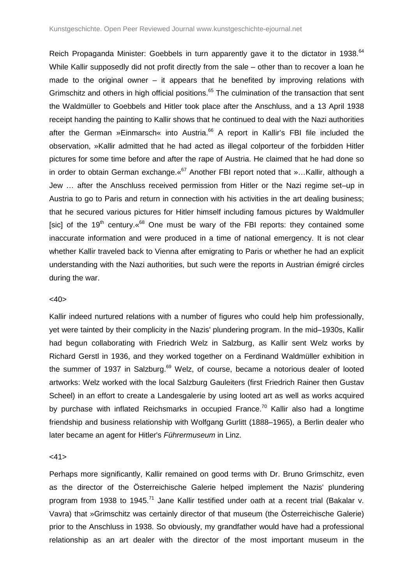Reich Propaganda Minister: Goebbels in turn apparently gave it to the dictator in 1938.<sup>64</sup> While Kallir supposedly did not profit directly from the sale – other than to recover a loan he made to the original owner – it appears that he benefited by improving relations with Grimschitz and others in high official positions.<sup>65</sup> The culmination of the transaction that sent the Waldmüller to Goebbels and Hitler took place after the Anschluss, and a 13 April 1938 receipt handing the painting to Kallir shows that he continued to deal with the Nazi authorities after the German »Einmarsch« into Austria.<sup>66</sup> A report in Kallir's FBI file included the observation, »Kallir admitted that he had acted as illegal colporteur of the forbidden Hitler pictures for some time before and after the rape of Austria. He claimed that he had done so in order to obtain German exchange.  $\frac{67}{7}$  Another FBI report noted that »... Kallir, although a Jew … after the Anschluss received permission from Hitler or the Nazi regime set–up in Austria to go to Paris and return in connection with his activities in the art dealing business; that he secured various pictures for Hitler himself including famous pictures by Waldmuller [sic] of the 19<sup>th</sup> century.  $\frac{68}{9}$  One must be wary of the FBI reports: they contained some inaccurate information and were produced in a time of national emergency. It is not clear whether Kallir traveled back to Vienna after emigrating to Paris or whether he had an explicit understanding with the Nazi authorities, but such were the reports in Austrian émigré circles during the war.

## $<$ 40 $>$

Kallir indeed nurtured relations with a number of figures who could help him professionally, yet were tainted by their complicity in the Nazis' plundering program. In the mid–1930s, Kallir had begun collaborating with Friedrich Welz in Salzburg, as Kallir sent Welz works by Richard Gerstl in 1936, and they worked together on a Ferdinand Waldmüller exhibition in the summer of 1937 in Salzburg. $69$  Welz, of course, became a notorious dealer of looted artworks: Welz worked with the local Salzburg Gauleiters (first Friedrich Rainer then Gustav Scheel) in an effort to create a Landesgalerie by using looted art as well as works acquired by purchase with inflated Reichsmarks in occupied France.<sup>70</sup> Kallir also had a longtime friendship and business relationship with Wolfgang Gurlitt (1888–1965), a Berlin dealer who later became an agent for Hitler's Führermuseum in Linz.

## $<41>$

Perhaps more significantly, Kallir remained on good terms with Dr. Bruno Grimschitz, even as the director of the Österreichische Galerie helped implement the Nazis' plundering program from 1938 to 1945.<sup>71</sup> Jane Kallir testified under oath at a recent trial (Bakalar v. Vavra) that »Grimschitz was certainly director of that museum (the Österreichische Galerie) prior to the Anschluss in 1938. So obviously, my grandfather would have had a professional relationship as an art dealer with the director of the most important museum in the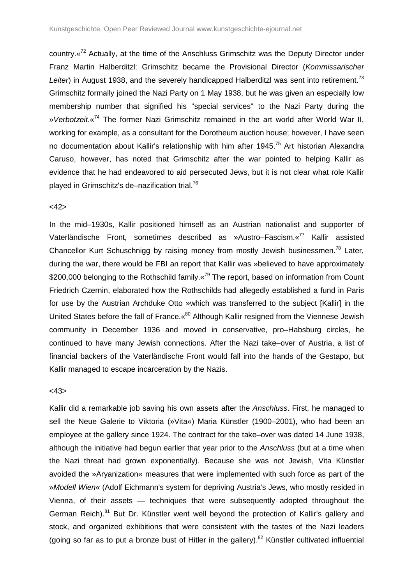country. «<sup>72</sup> Actually, at the time of the Anschluss Grimschitz was the Deputy Director under Franz Martin Halberditzl: Grimschitz became the Provisional Director (Kommissarischer Leiter) in August 1938, and the severely handicapped Halberditzl was sent into retirement.<sup>73</sup> Grimschitz formally joined the Nazi Party on 1 May 1938, but he was given an especially low membership number that signified his "special services" to the Nazi Party during the » Verbotzeit. «<sup>74</sup> The former Nazi Grimschitz remained in the art world after World War II, working for example, as a consultant for the Dorotheum auction house; however, I have seen no documentation about Kallir's relationship with him after 1945.<sup>75</sup> Art historian Alexandra Caruso, however, has noted that Grimschitz after the war pointed to helping Kallir as evidence that he had endeavored to aid persecuted Jews, but it is not clear what role Kallir played in Grimschitz's de–nazification trial.<sup>76</sup>

#### $<42>$

In the mid–1930s, Kallir positioned himself as an Austrian nationalist and supporter of Vaterländische Front, sometimes described as »Austro–Fascism.«<sup>77</sup> Kallir assisted Chancellor Kurt Schuschnigg by raising money from mostly Jewish businessmen.<sup>78</sup> Later, during the war, there would be FBI an report that Kallir was »believed to have approximately \$200,000 belonging to the Rothschild family.  $\frac{1}{2}$ <sup>79</sup> The report, based on information from Count Friedrich Czernin, elaborated how the Rothschilds had allegedly established a fund in Paris for use by the Austrian Archduke Otto »which was transferred to the subject [Kallir] in the United States before the fall of France. «<sup>80</sup> Although Kallir resigned from the Viennese Jewish community in December 1936 and moved in conservative, pro–Habsburg circles, he continued to have many Jewish connections. After the Nazi take–over of Austria, a list of financial backers of the Vaterländische Front would fall into the hands of the Gestapo, but Kallir managed to escape incarceration by the Nazis.

#### <43>

Kallir did a remarkable job saving his own assets after the Anschluss. First, he managed to sell the Neue Galerie to Viktoria (»Vita«) Maria Künstler (1900–2001), who had been an employee at the gallery since 1924. The contract for the take–over was dated 14 June 1938, although the initiative had begun earlier that year prior to the Anschluss (but at a time when the Nazi threat had grown exponentially). Because she was not Jewish, Vita Künstler avoided the »Aryanization« measures that were implemented with such force as part of the »Modell Wien« (Adolf Eichmann's system for depriving Austria's Jews, who mostly resided in Vienna, of their assets — techniques that were subsequently adopted throughout the German Reich).<sup>81</sup> But Dr. Künstler went well beyond the protection of Kallir's gallery and stock, and organized exhibitions that were consistent with the tastes of the Nazi leaders (going so far as to put a bronze bust of Hitler in the gallery).<sup>82</sup> Künstler cultivated influential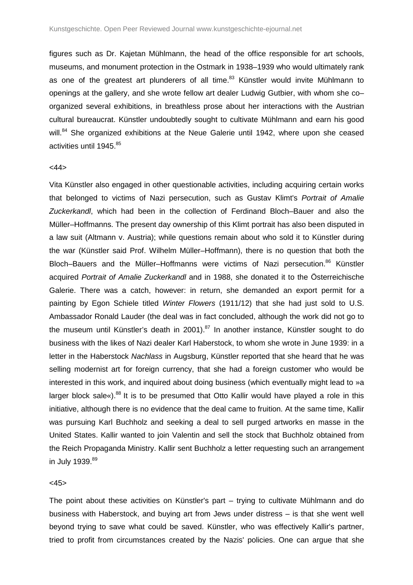figures such as Dr. Kajetan Mühlmann, the head of the office responsible for art schools, museums, and monument protection in the Ostmark in 1938–1939 who would ultimately rank as one of the greatest art plunderers of all time. $83$  Künstler would invite Mühlmann to openings at the gallery, and she wrote fellow art dealer Ludwig Gutbier, with whom she co– organized several exhibitions, in breathless prose about her interactions with the Austrian cultural bureaucrat. Künstler undoubtedly sought to cultivate Mühlmann and earn his good will.<sup>84</sup> She organized exhibitions at the Neue Galerie until 1942, where upon she ceased activities until 1945.<sup>85</sup>

#### $<44>$

Vita Künstler also engaged in other questionable activities, including acquiring certain works that belonged to victims of Nazi persecution, such as Gustav Klimt's Portrait of Amalie Zuckerkandl, which had been in the collection of Ferdinand Bloch–Bauer and also the Müller–Hoffmanns. The present day ownership of this Klimt portrait has also been disputed in a law suit (Altmann v. Austria); while questions remain about who sold it to Künstler during the war (Künstler said Prof. Wilhelm Müller–Hoffmann), there is no question that both the Bloch–Bauers and the Müller–Hoffmanns were victims of Nazi persecution.<sup>86</sup> Künstler acquired Portrait of Amalie Zuckerkandl and in 1988, she donated it to the Österreichische Galerie. There was a catch, however: in return, she demanded an export permit for a painting by Egon Schiele titled Winter Flowers (1911/12) that she had just sold to U.S. Ambassador Ronald Lauder (the deal was in fact concluded, although the work did not go to the museum until Künstler's death in 2001).<sup>87</sup> In another instance, Künstler sought to do business with the likes of Nazi dealer Karl Haberstock, to whom she wrote in June 1939: in a letter in the Haberstock Nachlass in Augsburg, Künstler reported that she heard that he was selling modernist art for foreign currency, that she had a foreign customer who would be interested in this work, and inquired about doing business (which eventually might lead to »a larger block sale«). $88$  It is to be presumed that Otto Kallir would have played a role in this initiative, although there is no evidence that the deal came to fruition. At the same time, Kallir was pursuing Karl Buchholz and seeking a deal to sell purged artworks en masse in the United States. Kallir wanted to join Valentin and sell the stock that Buchholz obtained from the Reich Propaganda Ministry. Kallir sent Buchholz a letter requesting such an arrangement in July 1939.<sup>89</sup>

### $<$ 45 $>$

The point about these activities on Künstler's part – trying to cultivate Mühlmann and do business with Haberstock, and buying art from Jews under distress – is that she went well beyond trying to save what could be saved. Künstler, who was effectively Kallir's partner, tried to profit from circumstances created by the Nazis' policies. One can argue that she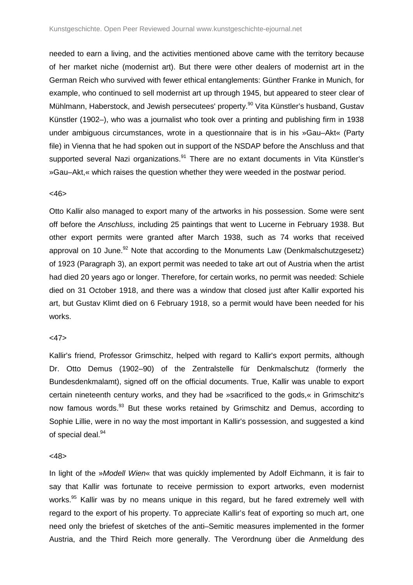needed to earn a living, and the activities mentioned above came with the territory because of her market niche (modernist art). But there were other dealers of modernist art in the German Reich who survived with fewer ethical entanglements: Günther Franke in Munich, for example, who continued to sell modernist art up through 1945, but appeared to steer clear of Mühlmann, Haberstock, and Jewish persecutees' property.<sup>90</sup> Vita Künstler's husband, Gustav Künstler (1902–), who was a journalist who took over a printing and publishing firm in 1938 under ambiguous circumstances, wrote in a questionnaire that is in his »Gau–Akt« (Party file) in Vienna that he had spoken out in support of the NSDAP before the Anschluss and that supported several Nazi organizations.<sup>91</sup> There are no extant documents in Vita Künstler's »Gau–Akt,« which raises the question whether they were weeded in the postwar period.

## $<46>$

Otto Kallir also managed to export many of the artworks in his possession. Some were sent off before the Anschluss, including 25 paintings that went to Lucerne in February 1938. But other export permits were granted after March 1938, such as 74 works that received approval on 10 June. $92$  Note that according to the Monuments Law (Denkmalschutzgesetz) of 1923 (Paragraph 3), an export permit was needed to take art out of Austria when the artist had died 20 years ago or longer. Therefore, for certain works, no permit was needed: Schiele died on 31 October 1918, and there was a window that closed just after Kallir exported his art, but Gustav Klimt died on 6 February 1918, so a permit would have been needed for his works.

## $<47>$

Kallir's friend, Professor Grimschitz, helped with regard to Kallir's export permits, although Dr. Otto Demus (1902–90) of the Zentralstelle für Denkmalschutz (formerly the Bundesdenkmalamt), signed off on the official documents. True, Kallir was unable to export certain nineteenth century works, and they had be »sacrificed to the gods,« in Grimschitz's now famous words.<sup>93</sup> But these works retained by Grimschitz and Demus, according to Sophie Lillie, were in no way the most important in Kallir's possession, and suggested a kind of special deal.<sup>94</sup>

#### <48>

In light of the »Modell Wien« that was quickly implemented by Adolf Eichmann, it is fair to say that Kallir was fortunate to receive permission to export artworks, even modernist works.<sup>95</sup> Kallir was by no means unique in this regard, but he fared extremely well with regard to the export of his property. To appreciate Kallir's feat of exporting so much art, one need only the briefest of sketches of the anti–Semitic measures implemented in the former Austria, and the Third Reich more generally. The Verordnung über die Anmeldung des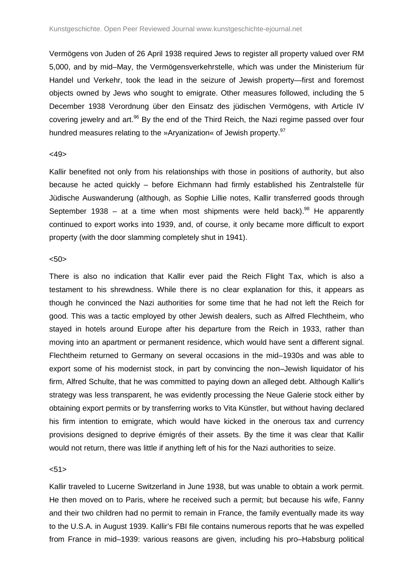Vermögens von Juden of 26 April 1938 required Jews to register all property valued over RM 5,000, and by mid–May, the Vermögensverkehrstelle, which was under the Ministerium für Handel und Verkehr, took the lead in the seizure of Jewish property—first and foremost objects owned by Jews who sought to emigrate. Other measures followed, including the 5 December 1938 Verordnung über den Einsatz des jüdischen Vermögens, with Article IV covering jewelry and art.<sup>96</sup> By the end of the Third Reich, the Nazi regime passed over four hundred measures relating to the »Aryanization« of Jewish property.<sup>97</sup>

#### $<49>$

Kallir benefited not only from his relationships with those in positions of authority, but also because he acted quickly – before Eichmann had firmly established his Zentralstelle für Jüdische Auswanderung (although, as Sophie Lillie notes, Kallir transferred goods through September 1938 – at a time when most shipments were held back).<sup>98</sup> He apparently continued to export works into 1939, and, of course, it only became more difficult to export property (with the door slamming completely shut in 1941).

#### $<sub>50</sub>$ </sub>

There is also no indication that Kallir ever paid the Reich Flight Tax, which is also a testament to his shrewdness. While there is no clear explanation for this, it appears as though he convinced the Nazi authorities for some time that he had not left the Reich for good. This was a tactic employed by other Jewish dealers, such as Alfred Flechtheim, who stayed in hotels around Europe after his departure from the Reich in 1933, rather than moving into an apartment or permanent residence, which would have sent a different signal. Flechtheim returned to Germany on several occasions in the mid–1930s and was able to export some of his modernist stock, in part by convincing the non–Jewish liquidator of his firm, Alfred Schulte, that he was committed to paying down an alleged debt. Although Kallir's strategy was less transparent, he was evidently processing the Neue Galerie stock either by obtaining export permits or by transferring works to Vita Künstler, but without having declared his firm intention to emigrate, which would have kicked in the onerous tax and currency provisions designed to deprive émigrés of their assets. By the time it was clear that Kallir would not return, there was little if anything left of his for the Nazi authorities to seize.

#### $< 51$

Kallir traveled to Lucerne Switzerland in June 1938, but was unable to obtain a work permit. He then moved on to Paris, where he received such a permit; but because his wife, Fanny and their two children had no permit to remain in France, the family eventually made its way to the U.S.A. in August 1939. Kallir's FBI file contains numerous reports that he was expelled from France in mid–1939: various reasons are given, including his pro–Habsburg political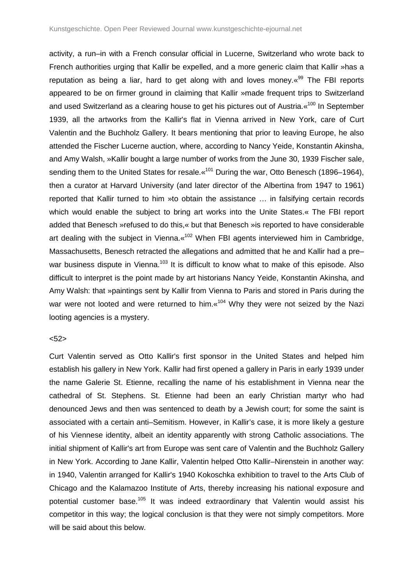activity, a run–in with a French consular official in Lucerne, Switzerland who wrote back to French authorities urging that Kallir be expelled, and a more generic claim that Kallir »has a reputation as being a liar, hard to get along with and loves money. $\frac{1}{8}$  The FBI reports appeared to be on firmer ground in claiming that Kallir »made frequent trips to Switzerland and used Switzerland as a clearing house to get his pictures out of Austria. «<sup>100</sup> In September 1939, all the artworks from the Kallir's flat in Vienna arrived in New York, care of Curt Valentin and the Buchholz Gallery. It bears mentioning that prior to leaving Europe, he also attended the Fischer Lucerne auction, where, according to Nancy Yeide, Konstantin Akinsha, and Amy Walsh, »Kallir bought a large number of works from the June 30, 1939 Fischer sale, sending them to the United States for resale. «<sup>101</sup> During the war, Otto Benesch (1896–1964), then a curator at Harvard University (and later director of the Albertina from 1947 to 1961) reported that Kallir turned to him »to obtain the assistance … in falsifying certain records which would enable the subject to bring art works into the Unite States.« The FBI report added that Benesch »refused to do this,« but that Benesch »is reported to have considerable art dealing with the subject in Vienna.«<sup>102</sup> When FBI agents interviewed him in Cambridge, Massachusetts, Benesch retracted the allegations and admitted that he and Kallir had a pre– war business dispute in Vienna.<sup>103</sup> It is difficult to know what to make of this episode. Also difficult to interpret is the point made by art historians Nancy Yeide, Konstantin Akinsha, and Amy Walsh: that »paintings sent by Kallir from Vienna to Paris and stored in Paris during the war were not looted and were returned to him. «<sup>104</sup> Why they were not seized by the Nazi looting agencies is a mystery.

## $< 52$

Curt Valentin served as Otto Kallir's first sponsor in the United States and helped him establish his gallery in New York. Kallir had first opened a gallery in Paris in early 1939 under the name Galerie St. Etienne, recalling the name of his establishment in Vienna near the cathedral of St. Stephens. St. Etienne had been an early Christian martyr who had denounced Jews and then was sentenced to death by a Jewish court; for some the saint is associated with a certain anti–Semitism. However, in Kallir's case, it is more likely a gesture of his Viennese identity, albeit an identity apparently with strong Catholic associations. The initial shipment of Kallir's art from Europe was sent care of Valentin and the Buchholz Gallery in New York. According to Jane Kallir, Valentin helped Otto Kallir–Nirenstein in another way: in 1940, Valentin arranged for Kallir's 1940 Kokoschka exhibition to travel to the Arts Club of Chicago and the Kalamazoo Institute of Arts, thereby increasing his national exposure and potential customer base.<sup>105</sup> It was indeed extraordinary that Valentin would assist his competitor in this way; the logical conclusion is that they were not simply competitors. More will be said about this below.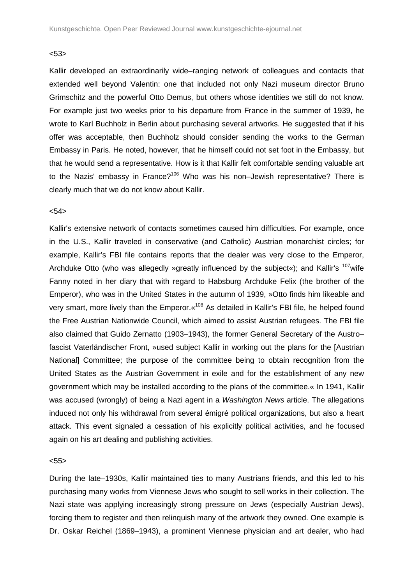## <53>

Kallir developed an extraordinarily wide–ranging network of colleagues and contacts that extended well beyond Valentin: one that included not only Nazi museum director Bruno Grimschitz and the powerful Otto Demus, but others whose identities we still do not know. For example just two weeks prior to his departure from France in the summer of 1939, he wrote to Karl Buchholz in Berlin about purchasing several artworks. He suggested that if his offer was acceptable, then Buchholz should consider sending the works to the German Embassy in Paris. He noted, however, that he himself could not set foot in the Embassy, but that he would send a representative. How is it that Kallir felt comfortable sending valuable art to the Nazis' embassy in France?<sup>106</sup> Who was his non–Jewish representative? There is clearly much that we do not know about Kallir.

#### $< 54$

Kallir's extensive network of contacts sometimes caused him difficulties. For example, once in the U.S., Kallir traveled in conservative (and Catholic) Austrian monarchist circles; for example, Kallir's FBI file contains reports that the dealer was very close to the Emperor, Archduke Otto (who was allegedly »greatly influenced by the subject«); and Kallir's  $107$  wife Fanny noted in her diary that with regard to Habsburg Archduke Felix (the brother of the Emperor), who was in the United States in the autumn of 1939, »Otto finds him likeable and very smart, more lively than the Emperor. «<sup>108</sup> As detailed in Kallir's FBI file, he helped found the Free Austrian Nationwide Council, which aimed to assist Austrian refugees. The FBI file also claimed that Guido Zernatto (1903–1943), the former General Secretary of the Austro– fascist Vaterländischer Front, »used subject Kallir in working out the plans for the [Austrian National] Committee; the purpose of the committee being to obtain recognition from the United States as the Austrian Government in exile and for the establishment of any new government which may be installed according to the plans of the committee.« In 1941, Kallir was accused (wrongly) of being a Nazi agent in a Washington News article. The allegations induced not only his withdrawal from several émigré political organizations, but also a heart attack. This event signaled a cessation of his explicitly political activities, and he focused again on his art dealing and publishing activities.

## $< 55$

During the late–1930s, Kallir maintained ties to many Austrians friends, and this led to his purchasing many works from Viennese Jews who sought to sell works in their collection. The Nazi state was applying increasingly strong pressure on Jews (especially Austrian Jews), forcing them to register and then relinquish many of the artwork they owned. One example is Dr. Oskar Reichel (1869–1943), a prominent Viennese physician and art dealer, who had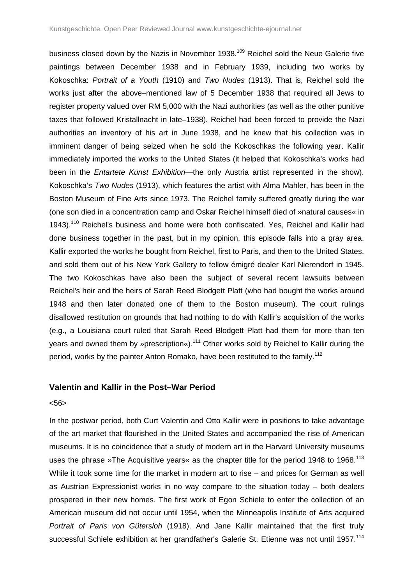business closed down by the Nazis in November 1938.<sup>109</sup> Reichel sold the Neue Galerie five paintings between December 1938 and in February 1939, including two works by Kokoschka: Portrait of a Youth (1910) and Two Nudes (1913). That is, Reichel sold the works just after the above–mentioned law of 5 December 1938 that required all Jews to register property valued over RM 5,000 with the Nazi authorities (as well as the other punitive taxes that followed Kristallnacht in late–1938). Reichel had been forced to provide the Nazi authorities an inventory of his art in June 1938, and he knew that his collection was in imminent danger of being seized when he sold the Kokoschkas the following year. Kallir immediately imported the works to the United States (it helped that Kokoschka's works had been in the *Entartete Kunst Exhibition*—the only Austria artist represented in the show). Kokoschka's Two Nudes (1913), which features the artist with Alma Mahler, has been in the Boston Museum of Fine Arts since 1973. The Reichel family suffered greatly during the war (one son died in a concentration camp and Oskar Reichel himself died of »natural causes« in 1943).<sup>110</sup> Reichel's business and home were both confiscated. Yes, Reichel and Kallir had done business together in the past, but in my opinion, this episode falls into a gray area. Kallir exported the works he bought from Reichel, first to Paris, and then to the United States, and sold them out of his New York Gallery to fellow émigré dealer Karl Nierendorf in 1945. The two Kokoschkas have also been the subject of several recent lawsuits between Reichel's heir and the heirs of Sarah Reed Blodgett Platt (who had bought the works around 1948 and then later donated one of them to the Boston museum). The court rulings disallowed restitution on grounds that had nothing to do with Kallir's acquisition of the works (e.g., a Louisiana court ruled that Sarah Reed Blodgett Platt had them for more than ten years and owned them by »prescription«).<sup>111</sup> Other works sold by Reichel to Kallir during the period, works by the painter Anton Romako, have been restituted to the family.<sup>112</sup>

## **Valentin and Kallir in the Post–War Period**

#### <56>

In the postwar period, both Curt Valentin and Otto Kallir were in positions to take advantage of the art market that flourished in the United States and accompanied the rise of American museums. It is no coincidence that a study of modern art in the Harvard University museums uses the phrase »The Acquisitive years« as the chapter title for the period 1948 to 1968.<sup>113</sup> While it took some time for the market in modern art to rise – and prices for German as well as Austrian Expressionist works in no way compare to the situation today – both dealers prospered in their new homes. The first work of Egon Schiele to enter the collection of an American museum did not occur until 1954, when the Minneapolis Institute of Arts acquired Portrait of Paris von Gütersloh (1918). And Jane Kallir maintained that the first truly successful Schiele exhibition at her grandfather's Galerie St. Etienne was not until 1957.<sup>114</sup>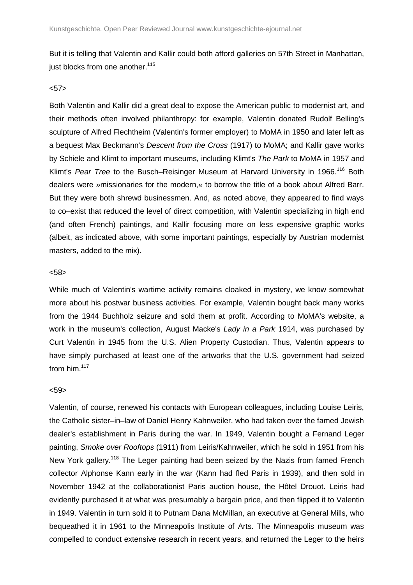But it is telling that Valentin and Kallir could both afford galleries on 57th Street in Manhattan, just blocks from one another.<sup>115</sup>

## $57>$

Both Valentin and Kallir did a great deal to expose the American public to modernist art, and their methods often involved philanthropy: for example, Valentin donated Rudolf Belling's sculpture of Alfred Flechtheim (Valentin's former employer) to MoMA in 1950 and later left as a bequest Max Beckmann's Descent from the Cross (1917) to MoMA; and Kallir gave works by Schiele and Klimt to important museums, including Klimt's The Park to MoMA in 1957 and Klimt's Pear Tree to the Busch–Reisinger Museum at Harvard University in 1966.<sup>116</sup> Both dealers were »missionaries for the modern,« to borrow the title of a book about Alfred Barr. But they were both shrewd businessmen. And, as noted above, they appeared to find ways to co–exist that reduced the level of direct competition, with Valentin specializing in high end (and often French) paintings, and Kallir focusing more on less expensive graphic works (albeit, as indicated above, with some important paintings, especially by Austrian modernist masters, added to the mix).

#### <58>

While much of Valentin's wartime activity remains cloaked in mystery, we know somewhat more about his postwar business activities. For example, Valentin bought back many works from the 1944 Buchholz seizure and sold them at profit. According to MoMA's website, a work in the museum's collection, August Macke's Lady in a Park 1914, was purchased by Curt Valentin in 1945 from the U.S. Alien Property Custodian. Thus, Valentin appears to have simply purchased at least one of the artworks that the U.S. government had seized from him. $117$ 

#### $< 59$

Valentin, of course, renewed his contacts with European colleagues, including Louise Leiris, the Catholic sister–in–law of Daniel Henry Kahnweiler, who had taken over the famed Jewish dealer's establishment in Paris during the war. In 1949, Valentin bought a Fernand Leger painting, Smoke over Rooftops (1911) from Leiris/Kahnweiler, which he sold in 1951 from his New York gallery.<sup>118</sup> The Leger painting had been seized by the Nazis from famed French collector Alphonse Kann early in the war (Kann had fled Paris in 1939), and then sold in November 1942 at the collaborationist Paris auction house, the Hôtel Drouot. Leiris had evidently purchased it at what was presumably a bargain price, and then flipped it to Valentin in 1949. Valentin in turn sold it to Putnam Dana McMillan, an executive at General Mills, who bequeathed it in 1961 to the Minneapolis Institute of Arts. The Minneapolis museum was compelled to conduct extensive research in recent years, and returned the Leger to the heirs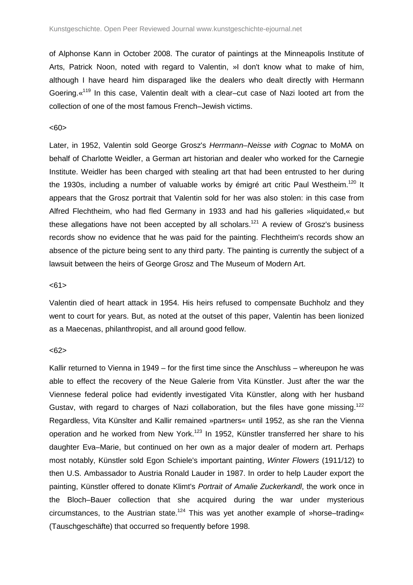of Alphonse Kann in October 2008. The curator of paintings at the Minneapolis Institute of Arts, Patrick Noon, noted with regard to Valentin, »I don't know what to make of him, although I have heard him disparaged like the dealers who dealt directly with Hermann Goering.<sup>«119</sup> In this case, Valentin dealt with a clear–cut case of Nazi looted art from the collection of one of the most famous French–Jewish victims.

#### <60>

Later, in 1952, Valentin sold George Grosz's Herrmann–Neisse with Cognac to MoMA on behalf of Charlotte Weidler, a German art historian and dealer who worked for the Carnegie Institute. Weidler has been charged with stealing art that had been entrusted to her during the 1930s, including a number of valuable works by émigré art critic Paul Westheim.<sup>120</sup> It appears that the Grosz portrait that Valentin sold for her was also stolen: in this case from Alfred Flechtheim, who had fled Germany in 1933 and had his galleries »liquidated,« but these allegations have not been accepted by all scholars.<sup>121</sup> A review of Grosz's business records show no evidence that he was paid for the painting. Flechtheim's records show an absence of the picture being sent to any third party. The painting is currently the subject of a lawsuit between the heirs of George Grosz and The Museum of Modern Art.

## $<61>$

Valentin died of heart attack in 1954. His heirs refused to compensate Buchholz and they went to court for years. But, as noted at the outset of this paper, Valentin has been lionized as a Maecenas, philanthropist, and all around good fellow.

## $<62>$

Kallir returned to Vienna in 1949 – for the first time since the Anschluss – whereupon he was able to effect the recovery of the Neue Galerie from Vita Künstler. Just after the war the Viennese federal police had evidently investigated Vita Künstler, along with her husband Gustav, with regard to charges of Nazi collaboration, but the files have gone missing.<sup>122</sup> Regardless, Vita Künslter and Kallir remained »partners« until 1952, as she ran the Vienna operation and he worked from New York.<sup>123</sup> In 1952, Künstler transferred her share to his daughter Eva–Marie, but continued on her own as a major dealer of modern art. Perhaps most notably, Künstler sold Egon Schiele's important painting, Winter Flowers (1911/12) to then U.S. Ambassador to Austria Ronald Lauder in 1987. In order to help Lauder export the painting, Künstler offered to donate Klimt's Portrait of Amalie Zuckerkandl, the work once in the Bloch–Bauer collection that she acquired during the war under mysterious circumstances, to the Austrian state.<sup>124</sup> This was yet another example of »horse–trading« (Tauschgeschäfte) that occurred so frequently before 1998.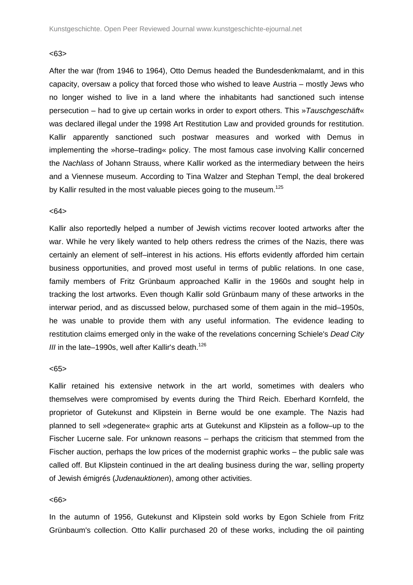## <63>

After the war (from 1946 to 1964), Otto Demus headed the Bundesdenkmalamt, and in this capacity, oversaw a policy that forced those who wished to leave Austria – mostly Jews who no longer wished to live in a land where the inhabitants had sanctioned such intense persecution – had to give up certain works in order to export others. This »Tauschgeschäft« was declared illegal under the 1998 Art Restitution Law and provided grounds for restitution. Kallir apparently sanctioned such postwar measures and worked with Demus in implementing the »horse–trading« policy. The most famous case involving Kallir concerned the Nachlass of Johann Strauss, where Kallir worked as the intermediary between the heirs and a Viennese museum. According to Tina Walzer and Stephan Templ, the deal brokered by Kallir resulted in the most valuable pieces going to the museum.<sup>125</sup>

#### $<64>$

Kallir also reportedly helped a number of Jewish victims recover looted artworks after the war. While he very likely wanted to help others redress the crimes of the Nazis, there was certainly an element of self–interest in his actions. His efforts evidently afforded him certain business opportunities, and proved most useful in terms of public relations. In one case, family members of Fritz Grünbaum approached Kallir in the 1960s and sought help in tracking the lost artworks. Even though Kallir sold Grünbaum many of these artworks in the interwar period, and as discussed below, purchased some of them again in the mid–1950s, he was unable to provide them with any useful information. The evidence leading to restitution claims emerged only in the wake of the revelations concerning Schiele's Dead City III in the late–1990s, well after Kallir's death.<sup>126</sup>

#### <65>

Kallir retained his extensive network in the art world, sometimes with dealers who themselves were compromised by events during the Third Reich. Eberhard Kornfeld, the proprietor of Gutekunst and Klipstein in Berne would be one example. The Nazis had planned to sell »degenerate« graphic arts at Gutekunst and Klipstein as a follow–up to the Fischer Lucerne sale. For unknown reasons – perhaps the criticism that stemmed from the Fischer auction, perhaps the low prices of the modernist graphic works – the public sale was called off. But Klipstein continued in the art dealing business during the war, selling property of Jewish émigrés (Judenauktionen), among other activities.

## <66>

In the autumn of 1956, Gutekunst and Klipstein sold works by Egon Schiele from Fritz Grünbaum's collection. Otto Kallir purchased 20 of these works, including the oil painting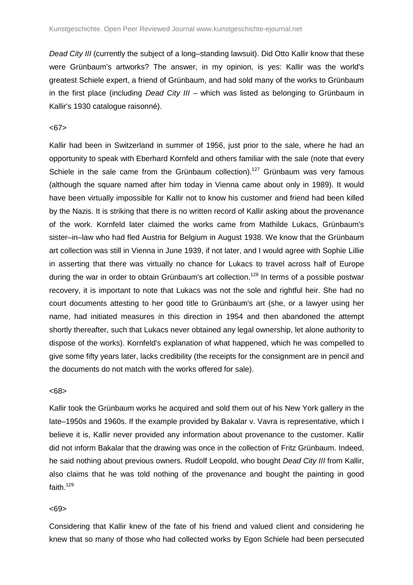Dead City III (currently the subject of a long-standing lawsuit). Did Otto Kallir know that these were Grünbaum's artworks? The answer, in my opinion, is yes: Kallir was the world's greatest Schiele expert, a friend of Grünbaum, and had sold many of the works to Grünbaum in the first place (including Dead City  $III$  – which was listed as belonging to Grünbaum in Kallir's 1930 catalogue raisonné).

#### <67>

Kallir had been in Switzerland in summer of 1956, just prior to the sale, where he had an opportunity to speak with Eberhard Kornfeld and others familiar with the sale (note that every Schiele in the sale came from the Grünbaum collection).<sup>127</sup> Grünbaum was very famous (although the square named after him today in Vienna came about only in 1989). It would have been virtually impossible for Kallir not to know his customer and friend had been killed by the Nazis. It is striking that there is no written record of Kallir asking about the provenance of the work. Kornfeld later claimed the works came from Mathilde Lukacs, Grünbaum's sister–in–law who had fled Austria for Belgium in August 1938. We know that the Grünbaum art collection was still in Vienna in June 1939, if not later, and I would agree with Sophie Lillie in asserting that there was virtually no chance for Lukacs to travel across half of Europe during the war in order to obtain Grünbaum's art collection.<sup>128</sup> In terms of a possible postwar recovery, it is important to note that Lukacs was not the sole and rightful heir. She had no court documents attesting to her good title to Grünbaum's art (she, or a lawyer using her name, had initiated measures in this direction in 1954 and then abandoned the attempt shortly thereafter, such that Lukacs never obtained any legal ownership, let alone authority to dispose of the works). Kornfeld's explanation of what happened, which he was compelled to give some fifty years later, lacks credibility (the receipts for the consignment are in pencil and the documents do not match with the works offered for sale).

#### <68>

Kallir took the Grünbaum works he acquired and sold them out of his New York gallery in the late–1950s and 1960s. If the example provided by Bakalar v. Vavra is representative, which I believe it is, Kallir never provided any information about provenance to the customer. Kallir did not inform Bakalar that the drawing was once in the collection of Fritz Grünbaum. Indeed, he said nothing about previous owners. Rudolf Leopold, who bought Dead City III from Kallir, also claims that he was told nothing of the provenance and bought the painting in good faith. $129$ 

#### <69>

Considering that Kallir knew of the fate of his friend and valued client and considering he knew that so many of those who had collected works by Egon Schiele had been persecuted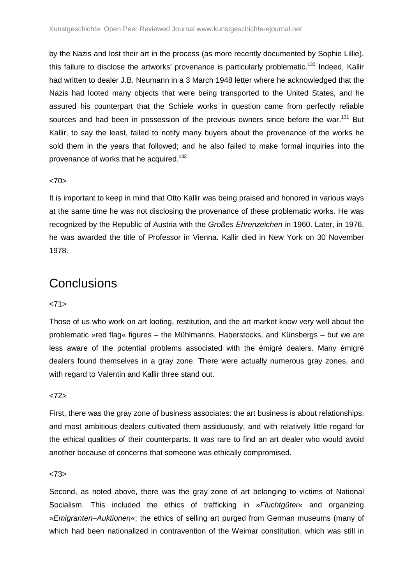by the Nazis and lost their art in the process (as more recently documented by Sophie Lillie), this failure to disclose the artworks' provenance is particularly problematic.<sup>130</sup> Indeed, Kallir had written to dealer J.B. Neumann in a 3 March 1948 letter where he acknowledged that the Nazis had looted many objects that were being transported to the United States, and he assured his counterpart that the Schiele works in question came from perfectly reliable sources and had been in possession of the previous owners since before the war.<sup>131</sup> But Kallir, to say the least, failed to notify many buyers about the provenance of the works he sold them in the years that followed; and he also failed to make formal inquiries into the provenance of works that he acquired.<sup>132</sup>

## $<70>$

It is important to keep in mind that Otto Kallir was being praised and honored in various ways at the same time he was not disclosing the provenance of these problematic works. He was recognized by the Republic of Austria with the Großes Ehrenzeichen in 1960. Later, in 1976, he was awarded the title of Professor in Vienna. Kallir died in New York on 30 November 1978.

## **Conclusions**

## $<71>$

Those of us who work on art looting, restitution, and the art market know very well about the problematic »red flag« figures – the Mühlmanns, Haberstocks, and Künsbergs – but we are less aware of the potential problems associated with the émigré dealers. Many émigré dealers found themselves in a gray zone. There were actually numerous gray zones, and with regard to Valentin and Kallir three stand out.

## $<72>$

First, there was the gray zone of business associates: the art business is about relationships, and most ambitious dealers cultivated them assiduously, and with relatively little regard for the ethical qualities of their counterparts. It was rare to find an art dealer who would avoid another because of concerns that someone was ethically compromised.

#### $273$

Second, as noted above, there was the gray zone of art belonging to victims of National Socialism. This included the ethics of trafficking in »Fluchtgüter« and organizing »Emigranten–Auktionen«; the ethics of selling art purged from German museums (many of which had been nationalized in contravention of the Weimar constitution, which was still in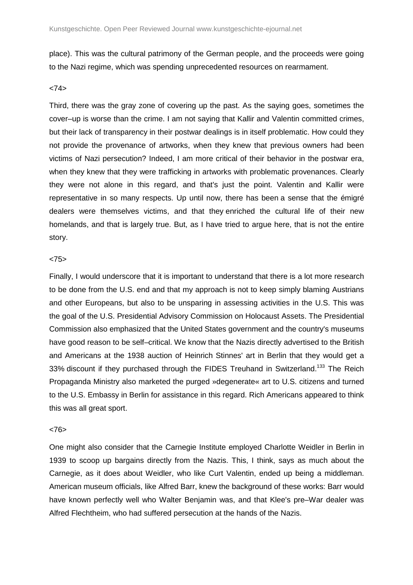place). This was the cultural patrimony of the German people, and the proceeds were going to the Nazi regime, which was spending unprecedented resources on rearmament.

## <74>

Third, there was the gray zone of covering up the past. As the saying goes, sometimes the cover–up is worse than the crime. I am not saying that Kallir and Valentin committed crimes, but their lack of transparency in their postwar dealings is in itself problematic. How could they not provide the provenance of artworks, when they knew that previous owners had been victims of Nazi persecution? Indeed, I am more critical of their behavior in the postwar era, when they knew that they were trafficking in artworks with problematic provenances. Clearly they were not alone in this regard, and that's just the point. Valentin and Kallir were representative in so many respects. Up until now, there has been a sense that the émigré dealers were themselves victims, and that they enriched the cultural life of their new homelands, and that is largely true. But, as I have tried to argue here, that is not the entire story.

#### $<75$

Finally, I would underscore that it is important to understand that there is a lot more research to be done from the U.S. end and that my approach is not to keep simply blaming Austrians and other Europeans, but also to be unsparing in assessing activities in the U.S. This was the goal of the U.S. Presidential Advisory Commission on Holocaust Assets. The Presidential Commission also emphasized that the United States government and the country's museums have good reason to be self–critical. We know that the Nazis directly advertised to the British and Americans at the 1938 auction of Heinrich Stinnes' art in Berlin that they would get a 33% discount if they purchased through the FIDES Treuhand in Switzerland.<sup>133</sup> The Reich Propaganda Ministry also marketed the purged »degenerate« art to U.S. citizens and turned to the U.S. Embassy in Berlin for assistance in this regard. Rich Americans appeared to think this was all great sport.

## <76>

One might also consider that the Carnegie Institute employed Charlotte Weidler in Berlin in 1939 to scoop up bargains directly from the Nazis. This, I think, says as much about the Carnegie, as it does about Weidler, who like Curt Valentin, ended up being a middleman. American museum officials, like Alfred Barr, knew the background of these works: Barr would have known perfectly well who Walter Benjamin was, and that Klee's pre–War dealer was Alfred Flechtheim, who had suffered persecution at the hands of the Nazis.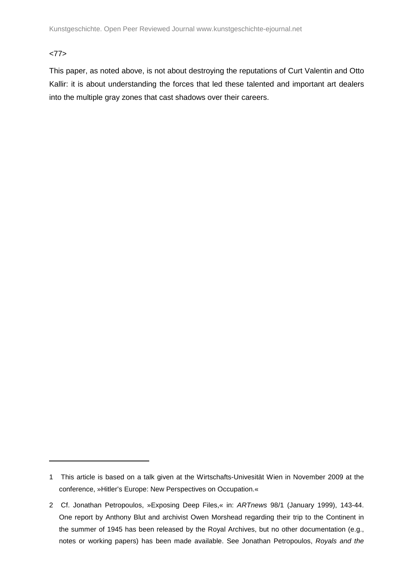<77>

 $\overline{a}$ 

This paper, as noted above, is not about destroying the reputations of Curt Valentin and Otto Kallir: it is about understanding the forces that led these talented and important art dealers into the multiple gray zones that cast shadows over their careers.

<sup>1</sup> This article is based on a talk given at the Wirtschafts-Univesität Wien in November 2009 at the conference, »Hitler's Europe: New Perspectives on Occupation.«

<sup>2</sup> Cf. Jonathan Petropoulos, »Exposing Deep Files,« in: ARTnews 98/1 (January 1999), 143-44. One report by Anthony Blut and archivist Owen Morshead regarding their trip to the Continent in the summer of 1945 has been released by the Royal Archives, but no other documentation (e.g., notes or working papers) has been made available. See Jonathan Petropoulos, Royals and the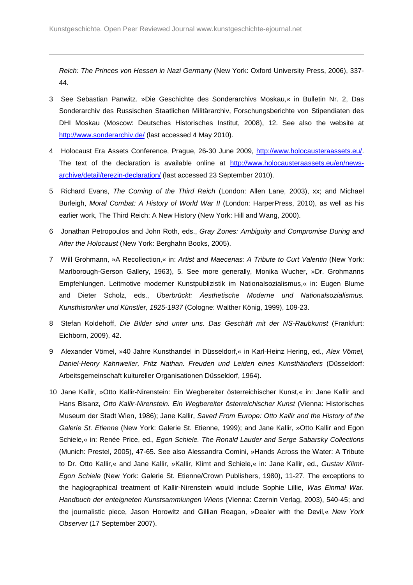Reich: The Princes von Hessen in Nazi Germany (New York: Oxford University Press, 2006), 337- 44.

- 3 See Sebastian Panwitz. »Die Geschichte des Sonderarchivs Moskau,« in Bulletin Nr. 2, Das Sonderarchiv des Russischen Staatlichen Militärarchiv, Forschungsberichte von Stipendiaten des DHI Moskau (Moscow: Deutsches Historisches Institut, 2008), 12. See also the website at http://www.sonderarchiv.de/ (last accessed 4 May 2010).
- 4 Holocaust Era Assets Conference, Prague, 26-30 June 2009, http://www.holocausteraassets.eu/. The text of the declaration is available online at http://www.holocausteraassets.eu/en/newsarchive/detail/terezin-declaration/ (last accessed 23 September 2010).
- 5 Richard Evans, The Coming of the Third Reich (London: Allen Lane, 2003), xx; and Michael Burleigh, Moral Combat: A History of World War II (London: HarperPress, 2010), as well as his earlier work, The Third Reich: A New History (New York: Hill and Wang, 2000).
- 6 Jonathan Petropoulos and John Roth, eds., Gray Zones: Ambiguity and Compromise During and After the Holocaust (New York: Berghahn Books, 2005).
- 7 Will Grohmann, »A Recollection,« in: Artist and Maecenas: A Tribute to Curt Valentin (New York: Marlborough-Gerson Gallery, 1963), 5. See more generally, Monika Wucher, »Dr. Grohmanns Empfehlungen. Leitmotive moderner Kunstpublizistik im Nationalsozialismus,« in: Eugen Blume and Dieter Scholz, eds., Überbrückt: Äesthetische Moderne und Nationalsozialismus. Kunsthistoriker und Künstler, 1925-1937 (Cologne: Walther König, 1999), 109-23.
- 8 Stefan Koldehoff, Die Bilder sind unter uns. Das Geschäft mit der NS-Raubkunst (Frankfurt: Eichborn, 2009), 42.
- 9 Alexander Vömel, »40 Jahre Kunsthandel in Düsseldorf, « in Karl-Heinz Hering, ed., Alex Vömel, Daniel-Henry Kahnweiler, Fritz Nathan. Freuden und Leiden eines Kunsthändlers (Düsseldorf: Arbeitsgemeinschaft kultureller Organisationen Düsseldorf, 1964).
- 10 Jane Kallir, »Otto Kallir-Nirenstein: Ein Wegbereiter österreichischer Kunst,« in: Jane Kallir and Hans Bisanz, Otto Kallir-Nirenstein. Ein Wegbereiter österreichischer Kunst (Vienna: Historisches Museum der Stadt Wien, 1986); Jane Kallir, Saved From Europe: Otto Kallir and the History of the Galerie St. Etienne (New York: Galerie St. Etienne, 1999); and Jane Kallir, »Otto Kallir and Egon Schiele,« in: Renée Price, ed., Egon Schiele. The Ronald Lauder and Serge Sabarsky Collections (Munich: Prestel, 2005), 47-65. See also Alessandra Comini, »Hands Across the Water: A Tribute to Dr. Otto Kallir,« and Jane Kallir, »Kallir, Klimt and Schiele,« in: Jane Kallir, ed., Gustav Klimt-Egon Schiele (New York: Galerie St. Etienne/Crown Publishers, 1980), 11-27. The exceptions to the hagiographical treatment of Kallir-Nirenstein would include Sophie Lillie, Was Einmal War. Handbuch der enteigneten Kunstsammlungen Wiens (Vienna: Czernin Verlag, 2003), 540-45; and the journalistic piece, Jason Horowitz and Gillian Reagan, »Dealer with the Devil,« New York Observer (17 September 2007).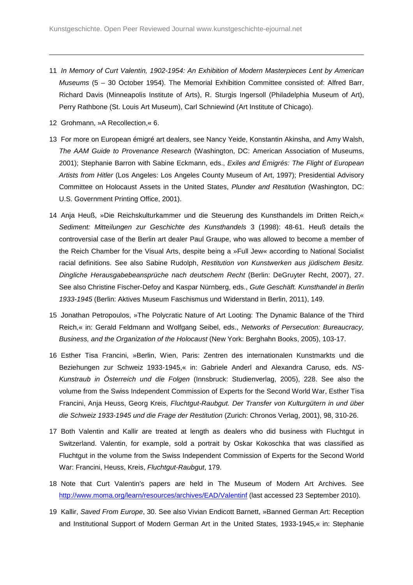- 11 In Memory of Curt Valentin, 1902-1954: An Exhibition of Modern Masterpieces Lent by American Museums (5 – 30 October 1954). The Memorial Exhibition Committee consisted of: Alfred Barr, Richard Davis (Minneapolis Institute of Arts), R. Sturgis Ingersoll (Philadelphia Museum of Art), Perry Rathbone (St. Louis Art Museum), Carl Schniewind (Art Institute of Chicago).
- 12 Grohmann, »A Recollection,« 6.

- 13 For more on European émigré art dealers, see Nancy Yeide, Konstantin Akinsha, and Amy Walsh, The AAM Guide to Provenance Research (Washington, DC: American Association of Museums, 2001); Stephanie Barron with Sabine Eckmann, eds., Exiles and Émigrés: The Flight of European Artists from Hitler (Los Angeles: Los Angeles County Museum of Art, 1997); Presidential Advisory Committee on Holocaust Assets in the United States, Plunder and Restitution (Washington, DC: U.S. Government Printing Office, 2001).
- 14 Anja Heuß, »Die Reichskulturkammer und die Steuerung des Kunsthandels im Dritten Reich,« Sediment: Mitteilungen zur Geschichte des Kunsthandels 3 (1998): 48-61. Heuß details the controversial case of the Berlin art dealer Paul Graupe, who was allowed to become a member of the Reich Chamber for the Visual Arts, despite being a »Full Jew« according to National Socialist racial definitions. See also Sabine Rudolph, Restitution von Kunstwerken aus jüdischem Besitz. Dingliche Herausgabebeansprüche nach deutschem Recht (Berlin: DeGruyter Recht, 2007), 27. See also Christine Fischer-Defoy and Kaspar Nürnberg, eds., Gute Geschäft. Kunsthandel in Berlin 1933-1945 (Berlin: Aktives Museum Faschismus und Widerstand in Berlin, 2011), 149.
- 15 Jonathan Petropoulos, »The Polycratic Nature of Art Looting: The Dynamic Balance of the Third Reich,« in: Gerald Feldmann and Wolfgang Seibel, eds., Networks of Persecution: Bureaucracy, Business, and the Organization of the Holocaust (New York: Berghahn Books, 2005), 103-17.
- 16 Esther Tisa Francini, »Berlin, Wien, Paris: Zentren des internationalen Kunstmarkts und die Beziehungen zur Schweiz 1933-1945,« in: Gabriele Anderl and Alexandra Caruso, eds. NS-Kunstraub in Österreich und die Folgen (Innsbruck: Studienverlag, 2005), 228. See also the volume from the Swiss Independent Commission of Experts for the Second World War, Esther Tisa Francini, Anja Heuss, Georg Kreis, Fluchtgut-Raubgut. Der Transfer von Kulturgütern in und über die Schweiz 1933-1945 und die Frage der Restitution (Zurich: Chronos Verlag, 2001), 98, 310-26.
- 17 Both Valentin and Kallir are treated at length as dealers who did business with Fluchtgut in Switzerland. Valentin, for example, sold a portrait by Oskar Kokoschka that was classified as Fluchtgut in the volume from the Swiss Independent Commission of Experts for the Second World War: Francini, Heuss, Kreis, Fluchtgut-Raubgut, 179.
- 18 Note that Curt Valentin's papers are held in The Museum of Modern Art Archives. See http://www.moma.org/learn/resources/archives/EAD/Valentinf (last accessed 23 September 2010).
- 19 Kallir, Saved From Europe, 30. See also Vivian Endicott Barnett, »Banned German Art: Reception and Institutional Support of Modern German Art in the United States, 1933-1945,« in: Stephanie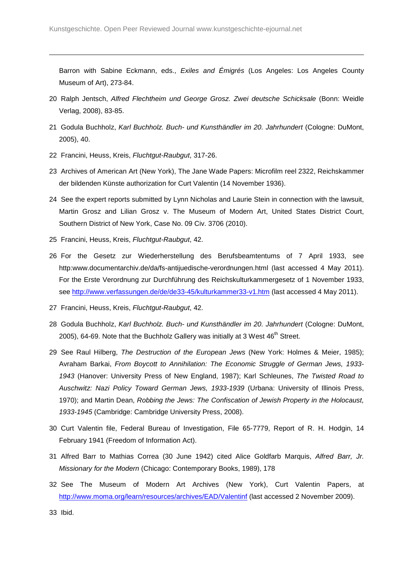Barron with Sabine Eckmann, eds., Exiles and Émigrés (Los Angeles: Los Angeles County Museum of Art), 273-84.

- 20 Ralph Jentsch, Alfred Flechtheim und George Grosz. Zwei deutsche Schicksale (Bonn: Weidle Verlag, 2008), 83-85.
- 21 Godula Buchholz, Karl Buchholz. Buch- und Kunsthändler im 20. Jahrhundert (Cologne: DuMont, 2005), 40.
- 22 Francini, Heuss, Kreis, Fluchtgut-Raubgut, 317-26.

 $\overline{a}$ 

- 23 Archives of American Art (New York), The Jane Wade Papers: Microfilm reel 2322, Reichskammer der bildenden Künste authorization for Curt Valentin (14 November 1936).
- 24 See the expert reports submitted by Lynn Nicholas and Laurie Stein in connection with the lawsuit, Martin Grosz and Lilian Grosz v. The Museum of Modern Art, United States District Court, Southern District of New York, Case No. 09 Civ. 3706 (2010).
- 25 Francini, Heuss, Kreis, Fluchtqut-Raubqut, 42.
- 26 For the Gesetz zur Wiederherstellung des Berufsbeamtentums of 7 April 1933, see http:www.documentarchiv.de/da/fs-antijuedische-verordnungen.html (last accessed 4 May 2011). For the Erste Verordnung zur Durchführung des Reichskulturkammergesetz of 1 November 1933, see http://www.verfassungen.de/de/de33-45/kulturkammer33-v1.htm (last accessed 4 May 2011).
- 27 Francini, Heuss, Kreis, Fluchtgut-Raubgut, 42.
- 28 Godula Buchholz, Karl Buchholz. Buch- und Kunsthändler im 20. Jahrhundert (Cologne: DuMont, 2005), 64-69. Note that the Buchholz Gallery was initially at 3 West  $46<sup>th</sup>$  Street.
- 29 See Raul Hilberg, The Destruction of the European Jews (New York: Holmes & Meier, 1985); Avraham Barkai, From Boycott to Annihilation: The Economic Struggle of German Jews, 1933- 1943 (Hanover: University Press of New England, 1987); Karl Schleunes, The Twisted Road to Auschwitz: Nazi Policy Toward German Jews, 1933-1939 (Urbana: University of Illinois Press, 1970); and Martin Dean, Robbing the Jews: The Confiscation of Jewish Property in the Holocaust, 1933-1945 (Cambridge: Cambridge University Press, 2008).
- 30 Curt Valentin file, Federal Bureau of Investigation, File 65-7779, Report of R. H. Hodgin, 14 February 1941 (Freedom of Information Act).
- 31 Alfred Barr to Mathias Correa (30 June 1942) cited Alice Goldfarb Marquis, Alfred Barr, Jr. Missionary for the Modern (Chicago: Contemporary Books, 1989), 178
- 32 See The Museum of Modern Art Archives (New York), Curt Valentin Papers, at http://www.moma.org/learn/resources/archives/EAD/Valentinf (last accessed 2 November 2009).

33 Ibid.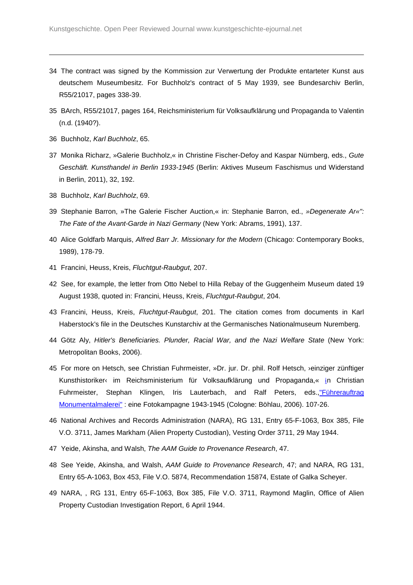- 34 The contract was signed by the Kommission zur Verwertung der Produkte entarteter Kunst aus deutschem Museumbesitz. For Buchholz's contract of 5 May 1939, see Bundesarchiv Berlin, R55/21017, pages 338-39.
- 35 BArch, R55/21017, pages 164, Reichsministerium für Volksaufklärung und Propaganda to Valentin (n.d. (1940?).
- 36 Buchholz, Karl Buchholz, 65.

- 37 Monika Richarz, »Galerie Buchholz,« in Christine Fischer-Defoy and Kaspar Nürnberg, eds., Gute Geschäft. Kunsthandel in Berlin 1933-1945 (Berlin: Aktives Museum Faschismus und Widerstand in Berlin, 2011), 32, 192.
- 38 Buchholz, Karl Buchholz, 69.
- 39 Stephanie Barron, »The Galerie Fischer Auction,« in: Stephanie Barron, ed., »Degenerate Ar«": The Fate of the Avant-Garde in Nazi Germany (New York: Abrams, 1991), 137.
- 40 Alice Goldfarb Marquis, Alfred Barr Jr. Missionary for the Modern (Chicago: Contemporary Books, 1989), 178-79.
- 41 Francini, Heuss, Kreis, Fluchtgut-Raubgut, 207.
- 42 See, for example, the letter from Otto Nebel to Hilla Rebay of the Guggenheim Museum dated 19 August 1938, quoted in: Francini, Heuss, Kreis, Fluchtgut-Raubgut, 204.
- 43 Francini, Heuss, Kreis, Fluchtgut-Raubgut, 201. The citation comes from documents in Karl Haberstock's file in the Deutsches Kunstarchiv at the Germanisches Nationalmuseum Nuremberg.
- 44 Götz Aly, Hitler's Beneficiaries. Plunder, Racial War, and the Nazi Welfare State (New York: Metropolitan Books, 2006).
- 45 For more on Hetsch, see Christian Fuhrmeister, »Dr. jur. Dr. phil. Rolf Hetsch, ›einziger zünftiger Kunsthistoriker‹ im Reichsministerium für Volksaufklärung und Propaganda,« in Christian Fuhrmeister, Stephan Klingen, Iris Lauterbach, and Ralf Peters, eds.,"Führerauftrag Monumentalmalerei" : eine Fotokampagne 1943-1945 (Cologne: Böhlau, 2006). 107-26.
- 46 National Archives and Records Administration (NARA), RG 131, Entry 65-F-1063, Box 385, File V.O. 3711, James Markham (Alien Property Custodian), Vesting Order 3711, 29 May 1944.
- 47 Yeide, Akinsha, and Walsh, The AAM Guide to Provenance Research, 47.
- 48 See Yeide, Akinsha, and Walsh, AAM Guide to Provenance Research, 47; and NARA, RG 131, Entry 65-A-1063, Box 453, File V.O. 5874, Recommendation 15874, Estate of Galka Scheyer.
- 49 NARA, , RG 131, Entry 65-F-1063, Box 385, File V.O. 3711, Raymond Maglin, Office of Alien Property Custodian Investigation Report, 6 April 1944.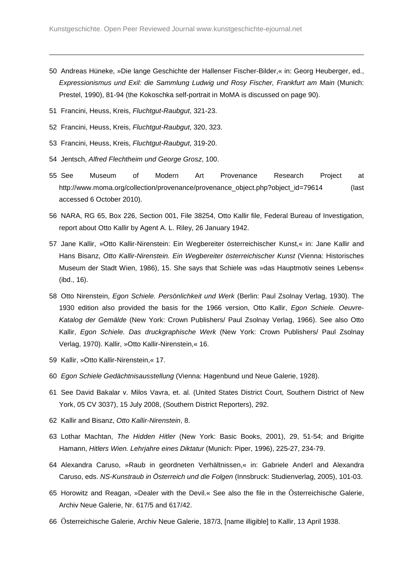- 50 Andreas Hüneke, »Die lange Geschichte der Hallenser Fischer-Bilder,« in: Georg Heuberger, ed., Expressionismus und Exil: die Sammlung Ludwig und Rosy Fischer, Frankfurt am Main (Munich: Prestel, 1990), 81-94 (the Kokoschka self-portrait in MoMA is discussed on page 90).
- 51 Francini, Heuss, Kreis, Fluchtgut-Raubgut, 321-23.

- 52 Francini, Heuss, Kreis, Fluchtgut-Raubgut, 320, 323.
- 53 Francini, Heuss, Kreis, Fluchtgut-Raubgut, 319-20.
- 54 Jentsch, Alfred Flechtheim und George Grosz, 100.
- 55 See Museum of Modern Art Provenance Research Project at http://www.moma.org/collection/provenance/provenance\_object.php?object\_id=79614 (last accessed 6 October 2010).
- 56 NARA, RG 65, Box 226, Section 001, File 38254, Otto Kallir file, Federal Bureau of Investigation, report about Otto Kallir by Agent A. L. Riley, 26 January 1942.
- 57 Jane Kallir, »Otto Kallir-Nirenstein: Ein Wegbereiter österreichischer Kunst,« in: Jane Kallir and Hans Bisanz, Otto Kallir-Nirenstein. Ein Wegbereiter österreichischer Kunst (Vienna: Historisches Museum der Stadt Wien, 1986), 15. She says that Schiele was »das Hauptmotiv seines Lebens« (ibd., 16).
- 58 Otto Nirenstein, Egon Schiele. Persönlichkeit und Werk (Berlin: Paul Zsolnay Verlag, 1930). The 1930 edition also provided the basis for the 1966 version, Otto Kallir, Egon Schiele. Oeuvre-Katalog der Gemälde (New York: Crown Publishers/ Paul Zsolnay Verlag, 1966). See also Otto Kallir, Egon Schiele. Das druckgraphische Werk (New York: Crown Publishers/ Paul Zsolnay Verlag, 1970). Kallir, »Otto Kallir-Nirenstein,« 16.
- 59 Kallir, »Otto Kallir-Nirenstein,« 17.
- 60 Egon Schiele Gedächtnisausstellung (Vienna: Hagenbund und Neue Galerie, 1928).
- 61 See David Bakalar v. Milos Vavra, et. al. (United States District Court, Southern District of New York, 05 CV 3037), 15 July 2008, (Southern District Reporters), 292.
- 62 Kallir and Bisanz, Otto Kallir-Nirenstein, 8.
- 63 Lothar Machtan, The Hidden Hitler (New York: Basic Books, 2001), 29, 51-54; and Brigitte Hamann, Hitlers Wien. Lehrjahre eines Diktatur (Munich: Piper, 1996), 225-27, 234-79.
- 64 Alexandra Caruso, »Raub in geordneten Verhältnissen,« in: Gabriele Anderl and Alexandra Caruso, eds. NS-Kunstraub in Österreich und die Folgen (Innsbruck: Studienverlag, 2005), 101-03.
- 65 Horowitz and Reagan, »Dealer with the Devil.« See also the file in the Österreichische Galerie, Archiv Neue Galerie, Nr. 617/5 and 617/42.
- 66 Österreichische Galerie, Archiv Neue Galerie, 187/3, [name illigible] to Kallir, 13 April 1938.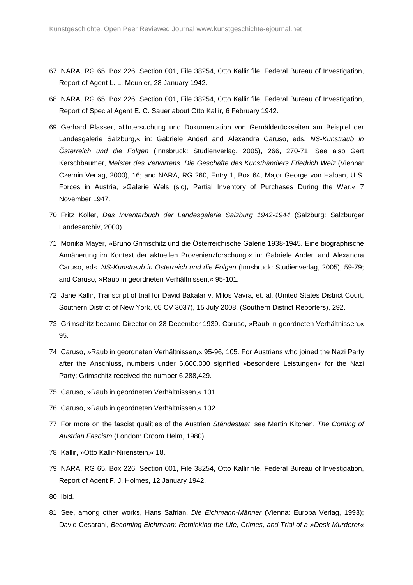- 67 NARA, RG 65, Box 226, Section 001, File 38254, Otto Kallir file, Federal Bureau of Investigation, Report of Agent L. L. Meunier, 28 January 1942.
- 68 NARA, RG 65, Box 226, Section 001, File 38254, Otto Kallir file, Federal Bureau of Investigation, Report of Special Agent E. C. Sauer about Otto Kallir, 6 February 1942.
- 69 Gerhard Plasser, »Untersuchung und Dokumentation von Gemälderückseiten am Beispiel der Landesgalerie Salzburg,« in: Gabriele Anderl and Alexandra Caruso, eds. NS-Kunstraub in Österreich und die Folgen (Innsbruck: Studienverlag, 2005), 266, 270-71. See also Gert Kerschbaumer, Meister des Verwirrens. Die Geschäfte des Kunsthändlers Friedrich Welz (Vienna: Czernin Verlag, 2000), 16; and NARA, RG 260, Entry 1, Box 64, Major George von Halban, U.S. Forces in Austria, »Galerie Wels (sic), Partial Inventory of Purchases During the War,« 7 November 1947.
- 70 Fritz Koller, Das Inventarbuch der Landesgalerie Salzburg 1942-1944 (Salzburg: Salzburger Landesarchiv, 2000).
- 71 Monika Mayer, »Bruno Grimschitz und die Österreichische Galerie 1938-1945. Eine biographische Annäherung im Kontext der aktuellen Provenienzforschung,« in: Gabriele Anderl and Alexandra Caruso, eds. NS-Kunstraub in Österreich und die Folgen (Innsbruck: Studienverlag, 2005), 59-79; and Caruso, »Raub in geordneten Verhältnissen,« 95-101.
- 72 Jane Kallir, Transcript of trial for David Bakalar v. Milos Vavra, et. al. (United States District Court, Southern District of New York, 05 CV 3037), 15 July 2008, (Southern District Reporters), 292.
- 73 Grimschitz became Director on 28 December 1939. Caruso, »Raub in geordneten Verhältnissen,« 95.
- 74 Caruso, »Raub in geordneten Verhältnissen,« 95-96, 105. For Austrians who joined the Nazi Party after the Anschluss, numbers under 6,600.000 signified »besondere Leistungen« for the Nazi Party; Grimschitz received the number 6,288,429.
- 75 Caruso, »Raub in geordneten Verhältnissen,« 101.
- 76 Caruso, »Raub in geordneten Verhältnissen,« 102.
- 77 For more on the fascist qualities of the Austrian Ständestaat, see Martin Kitchen, The Coming of Austrian Fascism (London: Croom Helm, 1980).
- 78 Kallir, »Otto Kallir-Nirenstein,« 18.
- 79 NARA, RG 65, Box 226, Section 001, File 38254, Otto Kallir file, Federal Bureau of Investigation, Report of Agent F. J. Holmes, 12 January 1942.
- 80 Ibid.

81 See, among other works, Hans Safrian, Die Eichmann-Männer (Vienna: Europa Verlag, 1993); David Cesarani, Becoming Eichmann: Rethinking the Life, Crimes, and Trial of a »Desk Murderer«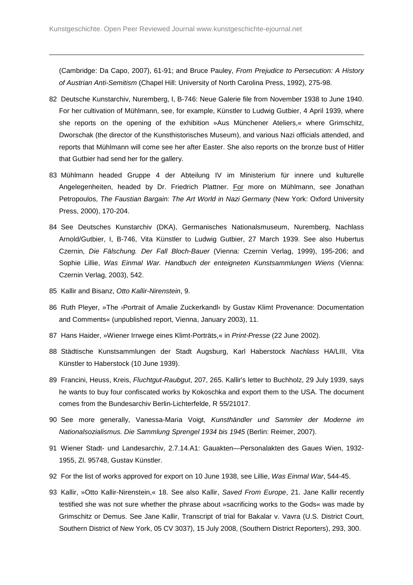(Cambridge: Da Capo, 2007), 61-91; and Bruce Pauley, From Prejudice to Persecution: A History of Austrian Anti-Semitism (Chapel Hill: University of North Carolina Press, 1992), 275-98.

- 82 Deutsche Kunstarchiv, Nuremberg, I, B-746: Neue Galerie file from November 1938 to June 1940. For her cultivation of Mühlmann, see, for example, Künstler to Ludwig Gutbier, 4 April 1939, where she reports on the opening of the exhibition »Aus Münchener Ateliers,« where Grimschitz, Dworschak (the director of the Kunsthistorisches Museum), and various Nazi officials attended, and reports that Mühlmann will come see her after Easter. She also reports on the bronze bust of Hitler that Gutbier had send her for the gallery.
- 83 Mühlmann headed Gruppe 4 der Abteilung IV im Ministerium für innere und kulturelle Angelegenheiten, headed by Dr. Friedrich Plattner. For more on Mühlmann, see Jonathan Petropoulos, The Faustian Bargain: The Art World in Nazi Germany (New York: Oxford University Press, 2000), 170-204.
- 84 See Deutsches Kunstarchiv (DKA), Germanisches Nationalsmuseum, Nuremberg, Nachlass Arnold/Gutbier, I, B-746, Vita Künstler to Ludwig Gutbier, 27 March 1939. See also Hubertus Czernin, Die Fälschung. Der Fall Bloch-Bauer (Vienna: Czernin Verlag, 1999), 195-206; and Sophie Lillie, Was Einmal War. Handbuch der enteigneten Kunstsammlungen Wiens (Vienna: Czernin Verlag, 2003), 542.
- 85 Kallir and Bisanz, Otto Kallir-Nirenstein, 9.

- 86 Ruth Pleyer, »The ›Portrait of Amalie Zuckerkandl‹ by Gustav Klimt Provenance: Documentation and Comments« (unpublished report, Vienna, January 2003), 11.
- 87 Hans Haider, »Wiener Irrwege eines Klimt-Porträts, « in Print-Presse (22 June 2002).
- 88 Städtische Kunstsammlungen der Stadt Augsburg, Karl Haberstock Nachlass HA/LIII, Vita Künstler to Haberstock (10 June 1939).
- 89 Francini, Heuss, Kreis, Fluchtgut-Raubgut, 207, 265. Kallir's letter to Buchholz, 29 July 1939, says he wants to buy four confiscated works by Kokoschka and export them to the USA. The document comes from the Bundesarchiv Berlin-Lichterfelde, R 55/21017.
- 90 See more generally, Vanessa-Maria Voigt, Kunsthändler und Sammler der Moderne im Nationalsozialismus. Die Sammlung Sprengel 1934 bis 1945 (Berlin: Reimer, 2007).
- 91 Wiener Stadt- und Landesarchiv, 2.7.14.A1: Gauakten—Personalakten des Gaues Wien, 1932- 1955, Zl. 95748, Gustav Künstler.
- 92 For the list of works approved for export on 10 June 1938, see Lillie, Was Einmal War, 544-45.
- 93 Kallir, »Otto Kallir-Nirenstein, « 18. See also Kallir, Saved From Europe, 21. Jane Kallir recently testified she was not sure whether the phrase about »sacrificing works to the Gods« was made by Grimschitz or Demus. See Jane Kallir, Transcript of trial for Bakalar v. Vavra (U.S. District Court, Southern District of New York, 05 CV 3037), 15 July 2008, (Southern District Reporters), 293, 300.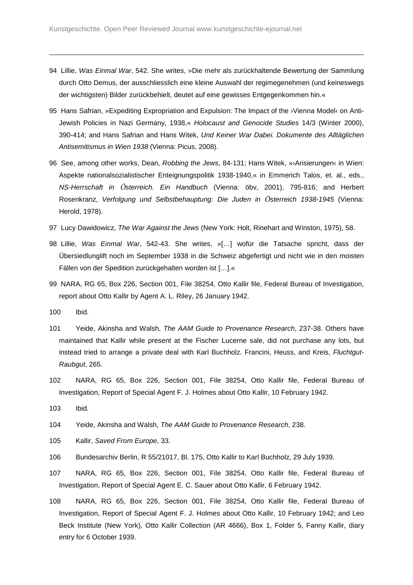- 94 Lillie, Was Einmal War, 542. She writes, »Die mehr als zurückhaltende Bewertung der Sammlung durch Otto Demus, der ausschliesslich eine kleine Auswahl der regimegenehmen (und keineswegs der wichtigsten) Bilder zurückbehielt, deutet auf eine gewisses Entgegenkommen hin.«
- 95 Hans Safrian, »Expediting Expropriation and Expulsion: The Impact of the >Vienna Model‹ on Anti-Jewish Policies in Nazi Germany, 1938,« Holocaust and Genocide Studies 14/3 (Winter 2000), 390-414; and Hans Safrian and Hans Witek, Und Keiner War Dabei. Dokumente des Alltäglichen Antisemitismus in Wien 1938 (Vienna: Picus, 2008).
- 96 See, among other works, Dean, Robbing the Jews, 84-131; Hans Witek, »>Arisierungen‹ in Wien: Aspekte nationalsozialistischer Enteignungspolitik 1938-1940,« in Emmerich Talos, et. al., eds., NS-Herrschaft in *Ö*sterreich. Ein Handbuch (Vienna: öbv, 2001), 795-816; and Herbert Rosenkranz, Verfolgung und Selbstbehauptung: Die Juden in *Ö*sterreich 1938-1945 (Vienna: Herold, 1978).
- 97 Lucy Dawidowicz, The War Against the Jews (New York: Holt, Rinehart and Winston, 1975), 58.
- 98 Lillie, Was Einmal War, 542-43. She writes, »[…] wofür die Tatsache spricht, dass der Übersiedlunglift noch im September 1938 in die Schweiz abgefertigt und nicht wie in den moisten Fällen von der Spedition zurückgehalten worden ist […].«
- 99 NARA, RG 65, Box 226, Section 001, File 38254, Otto Kallir file, Federal Bureau of Investigation, report about Otto Kallir by Agent A. L. Riley, 26 January 1942.
- 100 Ibid.

- 101 Yeide, Akinsha and Walsh, The AAM Guide to Provenance Research, 237-38. Others have maintained that Kallir while present at the Fischer Lucerne sale, did not purchase any lots, but instead tried to arrange a private deal with Karl Buchholz. Francini, Heuss, and Kreis, Fluchtgut-Raubgut, 265.
- 102 NARA, RG 65, Box 226, Section 001, File 38254, Otto Kallir file, Federal Bureau of Investigation, Report of Special Agent F. J. Holmes about Otto Kallir, 10 February 1942.
- 103 Ibid.
- 104 Yeide, Akinsha and Walsh, The AAM Guide to Provenance Research, 238.
- 105 Kallir, Saved From Europe, 33.
- 106 Bundesarchiv Berlin, R 55/21017, Bl. 175, Otto Kallir to Karl Buchholz, 29 July 1939.
- 107 NARA, RG 65, Box 226, Section 001, File 38254, Otto Kallir file, Federal Bureau of Investigation, Report of Special Agent E. C. Sauer about Otto Kallir, 6 February 1942.
- 108 NARA, RG 65, Box 226, Section 001, File 38254, Otto Kallir file, Federal Bureau of Investigation, Report of Special Agent F. J. Holmes about Otto Kallir, 10 February 1942; and Leo Beck Institute (New York), Otto Kallir Collection (AR 4666), Box 1, Folder 5, Fanny Kallir, diary entry for 6 October 1939.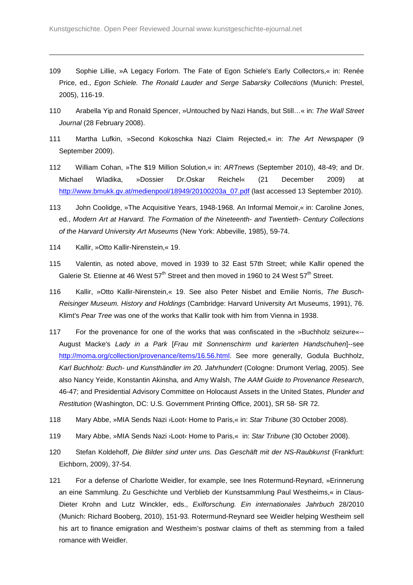- 109 Sophie Lillie, »A Legacy Forlorn. The Fate of Egon Schiele's Early Collectors,« in: Renée Price, ed., Egon Schiele. The Ronald Lauder and Serge Sabarsky Collections (Munich: Prestel, 2005), 116-19.
- 110 Arabella Yip and Ronald Spencer, »Untouched by Nazi Hands, but Still...« in: The Wall Street Journal (28 February 2008).
- 111 Martha Lufkin, »Second Kokoschka Nazi Claim Rejected,« in: The Art Newspaper (9 September 2009).
- 112 William Cohan, »The \$19 Million Solution,« in: ARTnews (September 2010), 48-49; and Dr. Michael Wladika, »Dossier Dr.Oskar Reichel« (21 December 2009) at http://www.bmukk.gv.at/medienpool/18949/20100203a\_07.pdf (last accessed 13 September 2010).
- 113 John Coolidge, »The Acquisitive Years, 1948-1968. An Informal Memoir,« in: Caroline Jones, ed., Modern Art at Harvard. The Formation of the Nineteenth- and Twentieth- Century Collections of the Harvard University Art Museums (New York: Abbeville, 1985), 59-74.
- 114 Kallir, »Otto Kallir-Nirenstein,« 19.

- 115 Valentin, as noted above, moved in 1939 to 32 East 57th Street; while Kallir opened the Galerie St. Etienne at 46 West  $57<sup>th</sup>$  Street and then moved in 1960 to 24 West  $57<sup>th</sup>$  Street.
- 116 Kallir, »Otto Kallir-Nirenstein,« 19. See also Peter Nisbet and Emilie Norris, The Busch-Reisinger Museum. History and Holdings (Cambridge: Harvard University Art Museums, 1991), 76. Klimt's Pear Tree was one of the works that Kallir took with him from Vienna in 1938.
- 117 For the provenance for one of the works that was confiscated in the »Buchholz seizure«-- August Macke's Lady in a Park [Frau mit Sonnenschirm und karierten Handschuhen]--see http://moma.org/collection/provenance/items/16.56.html. See more generally, Godula Buchholz, Karl Buchholz: Buch- und Kunsthändler im 20. Jahrhundert (Cologne: Drumont Verlag, 2005). See also Nancy Yeide, Konstantin Akinsha, and Amy Walsh, The AAM Guide to Provenance Research, 46-47; and Presidential Advisory Committee on Holocaust Assets in the United States, Plunder and Restitution (Washington, DC: U.S. Government Printing Office, 2001), SR 58- SR 72.
- 118 Mary Abbe, »MIA Sends Nazi ›Loot‹ Home to Paris, « in: Star Tribune (30 October 2008).
- 119 Mary Abbe, »MIA Sends Nazi ›Loot‹ Home to Paris,« in: Star Tribune (30 October 2008).
- 120 Stefan Koldehoff, Die Bilder sind unter uns. Das Geschäft mit der NS-Raubkunst (Frankfurt: Eichborn, 2009), 37-54.
- 121 For a defense of Charlotte Weidler, for example, see Ines Rotermund-Reynard, »Erinnerung an eine Sammlung. Zu Geschichte und Verblieb der Kunstsammlung Paul Westheims,« in Claus-Dieter Krohn and Lutz Winckler, eds., Exilforschung. Ein internationales Jahrbuch 28/2010 (Munich: Richard Booberg, 2010), 151-93. Rotermund-Reynard see Weidler helping Westheim sell his art to finance emigration and Westheim's postwar claims of theft as stemming from a failed romance with Weidler.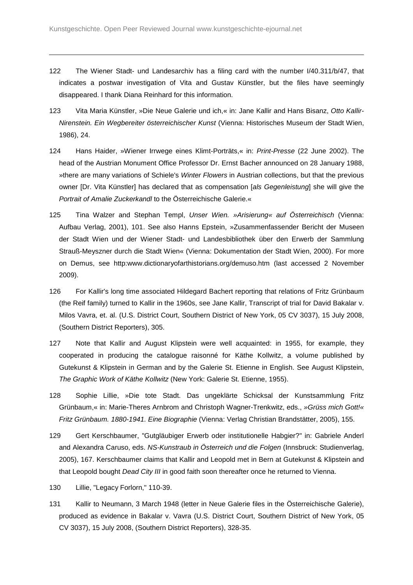- 122 The Wiener Stadt- und Landesarchiv has a filing card with the number I/40.311/b/47, that indicates a postwar investigation of Vita and Gustav Künstler, but the files have seemingly disappeared. I thank Diana Reinhard for this information.
- 123 Vita Maria Künstler, »Die Neue Galerie und ich, « in: Jane Kallir and Hans Bisanz, Otto Kallir-Nirenstein. Ein Wegbereiter österreichischer Kunst (Vienna: Historisches Museum der Stadt Wien, 1986), 24.
- 124 Hans Haider, »Wiener Irrwege eines Klimt-Porträts,« in: Print-Presse (22 June 2002). The head of the Austrian Monument Office Professor Dr. Ernst Bacher announced on 28 January 1988, »there are many variations of Schiele's Winter Flowers in Austrian collections, but that the previous owner [Dr. Vita Künstler] has declared that as compensation [als Gegenleistung] she will give the Portrait of Amalie Zuckerkandl to the Österreichische Galerie.«
- 125 Tina Walzer and Stephan Templ, Unser Wien. »Arisierung« auf Österreichisch (Vienna: Aufbau Verlag, 2001), 101. See also Hanns Epstein, »Zusammenfassender Bericht der Museen der Stadt Wien und der Wiener Stadt- und Landesbibliothek über den Erwerb der Sammlung Strauß-Meyszner durch die Stadt Wien« (Vienna: Dokumentation der Stadt Wien, 2000). For more on Demus, see http:www.dictionaryofarthistorians.org/demuso.htm (last accessed 2 November 2009).
- 126 For Kallir's long time associated Hildegard Bachert reporting that relations of Fritz Grünbaum (the Reif family) turned to Kallir in the 1960s, see Jane Kallir, Transcript of trial for David Bakalar v. Milos Vavra, et. al. (U.S. District Court, Southern District of New York, 05 CV 3037), 15 July 2008, (Southern District Reporters), 305.
- 127 Note that Kallir and August Klipstein were well acquainted: in 1955, for example, they cooperated in producing the catalogue raisonné for Käthe Kollwitz, a volume published by Gutekunst & Klipstein in German and by the Galerie St. Etienne in English. See August Klipstein, The Graphic Work of Käthe Kollwitz (New York: Galerie St. Etienne, 1955).
- 128 Sophie Lillie, »Die tote Stadt. Das ungeklärte Schicksal der Kunstsammlung Fritz Grünbaum,« in: Marie-Theres Arnbrom and Christoph Wagner-Trenkwitz, eds., »Grüss mich Gott!« Fritz Grünbaum. 1880-1941. Eine Biographie (Vienna: Verlag Christian Brandstätter, 2005), 155.
- 129 Gert Kerschbaumer, "Gutgläubiger Erwerb oder institutionelle Habgier?" in: Gabriele Anderl and Alexandra Caruso, eds. NS-Kunstraub in Österreich und die Folgen (Innsbruck: Studienverlag, 2005), 167. Kerschbaumer claims that Kallir and Leopold met in Bern at Gutekunst & Klipstein and that Leopold bought Dead City III in good faith soon thereafter once he returned to Vienna.
- 130 Lillie, "Legacy Forlorn," 110-39.
- 131 Kallir to Neumann, 3 March 1948 (letter in Neue Galerie files in the Österreichische Galerie), produced as evidence in Bakalar v. Vavra (U.S. District Court, Southern District of New York, 05 CV 3037), 15 July 2008, (Southern District Reporters), 328-35.